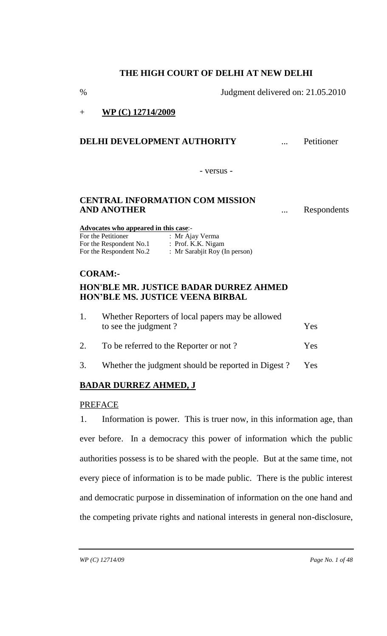## **THE HIGH COURT OF DELHI AT NEW DELHI**

% Judgment delivered on: 21.05.2010

### + **WP (C) 12714/2009**

### **DELHI DEVELOPMENT AUTHORITY** ... Petitioner

- versus -

#### **CENTRAL INFORMATION COM MISSION AND ANOTHER** ... Respondents

| : Prof. K.K. Nigam            |
|-------------------------------|
| : Mr Sarabjit Roy (In person) |
|                               |

#### **CORAM:-**

## **HON'BLE MR. JUSTICE BADAR DURREZ AHMED HON'BLE MS. JUSTICE VEENA BIRBAL**

| $\mathbf{1}$ . | Whether Reporters of local papers may be allowed<br>to see the judgment? | Yes        |
|----------------|--------------------------------------------------------------------------|------------|
| 2.             | To be referred to the Reporter or not?                                   | <b>Yes</b> |
| 3.             | Whether the judgment should be reported in Digest?                       | Yes        |

### **BADAR DURREZ AHMED, J**

#### PREFACE

1. Information is power. This is truer now, in this information age, than ever before. In a democracy this power of information which the public authorities possess is to be shared with the people. But at the same time, not every piece of information is to be made public. There is the public interest and democratic purpose in dissemination of information on the one hand and the competing private rights and national interests in general non-disclosure,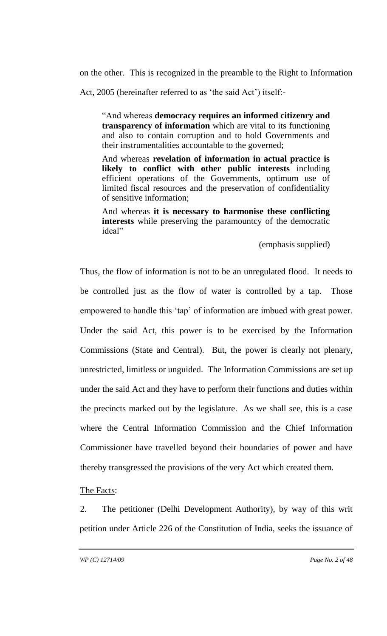on the other. This is recognized in the preamble to the Right to Information

Act, 2005 (hereinafter referred to as 'the said Act') itself:-

―And whereas **democracy requires an informed citizenry and transparency of information** which are vital to its functioning and also to contain corruption and to hold Governments and their instrumentalities accountable to the governed;

And whereas **revelation of information in actual practice is likely to conflict with other public interests** including efficient operations of the Governments, optimum use of limited fiscal resources and the preservation of confidentiality of sensitive information;

And whereas **it is necessary to harmonise these conflicting interests** while preserving the paramountcy of the democratic ideal"

(emphasis supplied)

Thus, the flow of information is not to be an unregulated flood. It needs to be controlled just as the flow of water is controlled by a tap. Those empowered to handle this 'tap' of information are imbued with great power. Under the said Act, this power is to be exercised by the Information Commissions (State and Central). But, the power is clearly not plenary, unrestricted, limitless or unguided. The Information Commissions are set up under the said Act and they have to perform their functions and duties within the precincts marked out by the legislature. As we shall see, this is a case where the Central Information Commission and the Chief Information Commissioner have travelled beyond their boundaries of power and have thereby transgressed the provisions of the very Act which created them.

The Facts:

2. The petitioner (Delhi Development Authority), by way of this writ petition under Article 226 of the Constitution of India, seeks the issuance of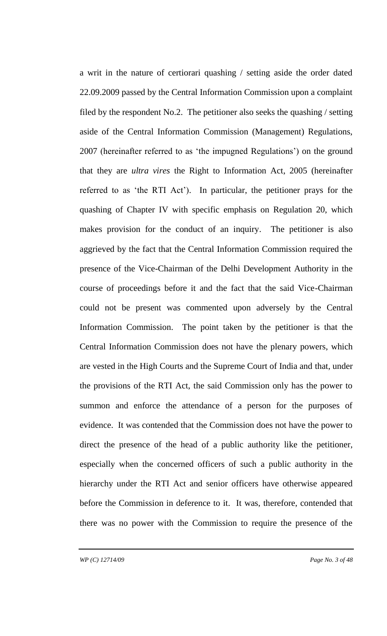a writ in the nature of certiorari quashing / setting aside the order dated 22.09.2009 passed by the Central Information Commission upon a complaint filed by the respondent No.2. The petitioner also seeks the quashing / setting aside of the Central Information Commission (Management) Regulations, 2007 (hereinafter referred to as 'the impugned Regulations') on the ground that they are *ultra vires* the Right to Information Act, 2005 (hereinafter referred to as 'the RTI Act'). In particular, the petitioner prays for the quashing of Chapter IV with specific emphasis on Regulation 20, which makes provision for the conduct of an inquiry. The petitioner is also aggrieved by the fact that the Central Information Commission required the presence of the Vice-Chairman of the Delhi Development Authority in the course of proceedings before it and the fact that the said Vice-Chairman could not be present was commented upon adversely by the Central Information Commission. The point taken by the petitioner is that the Central Information Commission does not have the plenary powers, which are vested in the High Courts and the Supreme Court of India and that, under the provisions of the RTI Act, the said Commission only has the power to summon and enforce the attendance of a person for the purposes of evidence. It was contended that the Commission does not have the power to direct the presence of the head of a public authority like the petitioner, especially when the concerned officers of such a public authority in the hierarchy under the RTI Act and senior officers have otherwise appeared before the Commission in deference to it. It was, therefore, contended that there was no power with the Commission to require the presence of the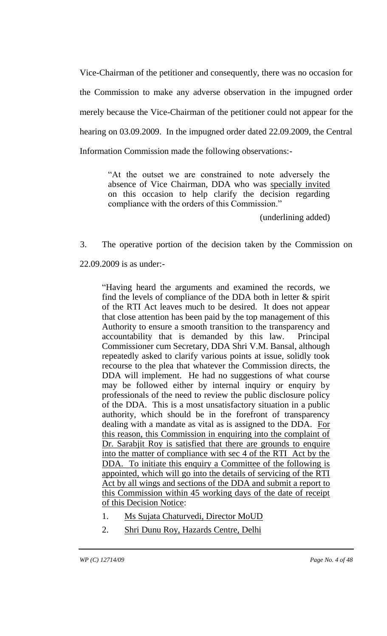Vice-Chairman of the petitioner and consequently, there was no occasion for the Commission to make any adverse observation in the impugned order merely because the Vice-Chairman of the petitioner could not appear for the hearing on 03.09.2009. In the impugned order dated 22.09.2009, the Central Information Commission made the following observations:-

―At the outset we are constrained to note adversely the absence of Vice Chairman, DDA who was specially invited on this occasion to help clarify the decision regarding compliance with the orders of this Commission."

(underlining added)

3. The operative portion of the decision taken by the Commission on

22.09.2009 is as under:-

―Having heard the arguments and examined the records, we find the levels of compliance of the DDA both in letter  $\&$  spirit of the RTI Act leaves much to be desired. It does not appear that close attention has been paid by the top management of this Authority to ensure a smooth transition to the transparency and accountability that is demanded by this law. Principal Commissioner cum Secretary, DDA Shri V.M. Bansal, although repeatedly asked to clarify various points at issue, solidly took recourse to the plea that whatever the Commission directs, the DDA will implement. He had no suggestions of what course may be followed either by internal inquiry or enquiry by professionals of the need to review the public disclosure policy of the DDA. This is a most unsatisfactory situation in a public authority, which should be in the forefront of transparency dealing with a mandate as vital as is assigned to the DDA. For this reason, this Commission in enquiring into the complaint of Dr. Sarabjit Roy is satisfied that there are grounds to enquire into the matter of compliance with sec 4 of the RTI Act by the DDA. To initiate this enquiry a Committee of the following is appointed, which will go into the details of servicing of the RTI Act by all wings and sections of the DDA and submit a report to this Commission within 45 working days of the date of receipt of this Decision Notice:

- 1. Ms Sujata Chaturvedi, Director MoUD
- 2. Shri Dunu Roy, Hazards Centre, Delhi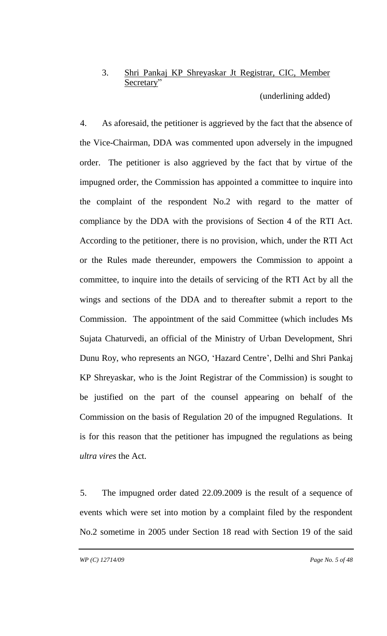# 3. Shri Pankaj KP Shreyaskar Jt Registrar, CIC, Member Secretary"

(underlining added)

4. As aforesaid, the petitioner is aggrieved by the fact that the absence of the Vice-Chairman, DDA was commented upon adversely in the impugned order. The petitioner is also aggrieved by the fact that by virtue of the impugned order, the Commission has appointed a committee to inquire into the complaint of the respondent No.2 with regard to the matter of compliance by the DDA with the provisions of Section 4 of the RTI Act. According to the petitioner, there is no provision, which, under the RTI Act or the Rules made thereunder, empowers the Commission to appoint a committee, to inquire into the details of servicing of the RTI Act by all the wings and sections of the DDA and to thereafter submit a report to the Commission. The appointment of the said Committee (which includes Ms Sujata Chaturvedi, an official of the Ministry of Urban Development, Shri Dunu Roy, who represents an NGO, ‗Hazard Centre', Delhi and Shri Pankaj KP Shreyaskar, who is the Joint Registrar of the Commission) is sought to be justified on the part of the counsel appearing on behalf of the Commission on the basis of Regulation 20 of the impugned Regulations. It is for this reason that the petitioner has impugned the regulations as being *ultra vires* the Act.

5. The impugned order dated 22.09.2009 is the result of a sequence of events which were set into motion by a complaint filed by the respondent No.2 sometime in 2005 under Section 18 read with Section 19 of the said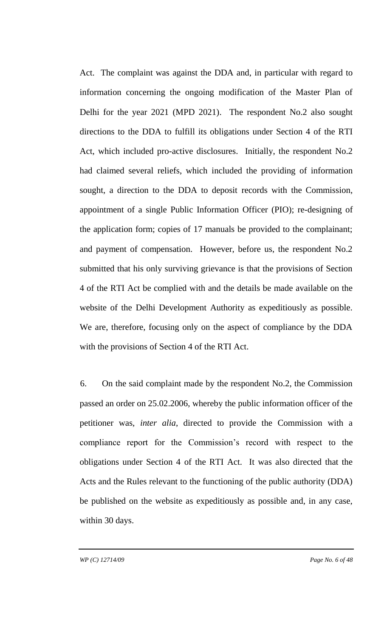Act. The complaint was against the DDA and, in particular with regard to information concerning the ongoing modification of the Master Plan of Delhi for the year 2021 (MPD 2021). The respondent No.2 also sought directions to the DDA to fulfill its obligations under Section 4 of the RTI Act, which included pro-active disclosures. Initially, the respondent No.2 had claimed several reliefs, which included the providing of information sought, a direction to the DDA to deposit records with the Commission, appointment of a single Public Information Officer (PIO); re-designing of the application form; copies of 17 manuals be provided to the complainant; and payment of compensation. However, before us, the respondent No.2 submitted that his only surviving grievance is that the provisions of Section 4 of the RTI Act be complied with and the details be made available on the website of the Delhi Development Authority as expeditiously as possible. We are, therefore, focusing only on the aspect of compliance by the DDA with the provisions of Section 4 of the RTI Act.

6. On the said complaint made by the respondent No.2, the Commission passed an order on 25.02.2006, whereby the public information officer of the petitioner was, *inter alia*, directed to provide the Commission with a compliance report for the Commission's record with respect to the obligations under Section 4 of the RTI Act. It was also directed that the Acts and the Rules relevant to the functioning of the public authority (DDA) be published on the website as expeditiously as possible and, in any case, within 30 days.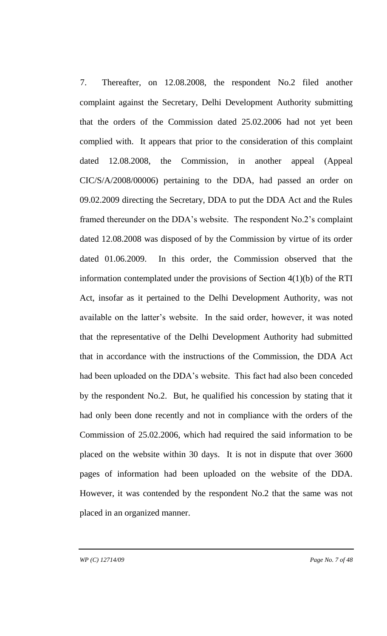7. Thereafter, on 12.08.2008, the respondent No.2 filed another complaint against the Secretary, Delhi Development Authority submitting that the orders of the Commission dated 25.02.2006 had not yet been complied with. It appears that prior to the consideration of this complaint dated 12.08.2008, the Commission, in another appeal (Appeal CIC/S/A/2008/00006) pertaining to the DDA, had passed an order on 09.02.2009 directing the Secretary, DDA to put the DDA Act and the Rules framed thereunder on the DDA's website. The respondent No.2's complaint dated 12.08.2008 was disposed of by the Commission by virtue of its order dated 01.06.2009. In this order, the Commission observed that the information contemplated under the provisions of Section 4(1)(b) of the RTI Act, insofar as it pertained to the Delhi Development Authority, was not available on the latter's website. In the said order, however, it was noted that the representative of the Delhi Development Authority had submitted that in accordance with the instructions of the Commission, the DDA Act had been uploaded on the DDA's website. This fact had also been conceded by the respondent No.2. But, he qualified his concession by stating that it had only been done recently and not in compliance with the orders of the Commission of 25.02.2006, which had required the said information to be placed on the website within 30 days. It is not in dispute that over 3600 pages of information had been uploaded on the website of the DDA. However, it was contended by the respondent No.2 that the same was not placed in an organized manner.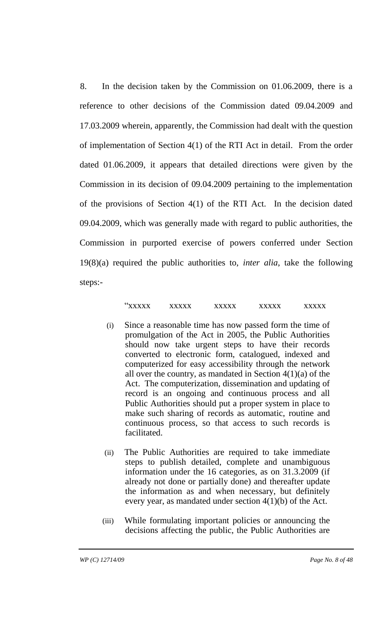8. In the decision taken by the Commission on 01.06.2009, there is a reference to other decisions of the Commission dated 09.04.2009 and 17.03.2009 wherein, apparently, the Commission had dealt with the question of implementation of Section 4(1) of the RTI Act in detail. From the order dated 01.06.2009, it appears that detailed directions were given by the Commission in its decision of 09.04.2009 pertaining to the implementation of the provisions of Section 4(1) of the RTI Act. In the decision dated 09.04.2009, which was generally made with regard to public authorities, the Commission in purported exercise of powers conferred under Section 19(8)(a) required the public authorities to, *inter alia*, take the following steps:-

#### ―xxxxx xxxxx xxxxx xxxxx xxxxx

- (i) Since a reasonable time has now passed form the time of promulgation of the Act in 2005, the Public Authorities should now take urgent steps to have their records converted to electronic form, catalogued, indexed and computerized for easy accessibility through the network all over the country, as mandated in Section  $4(1)(a)$  of the Act. The computerization, dissemination and updating of record is an ongoing and continuous process and all Public Authorities should put a proper system in place to make such sharing of records as automatic, routine and continuous process, so that access to such records is facilitated.
- (ii) The Public Authorities are required to take immediate steps to publish detailed, complete and unambiguous information under the 16 categories, as on 31.3.2009 (if already not done or partially done) and thereafter update the information as and when necessary, but definitely every year, as mandated under section 4(1)(b) of the Act.
- (iii) While formulating important policies or announcing the decisions affecting the public, the Public Authorities are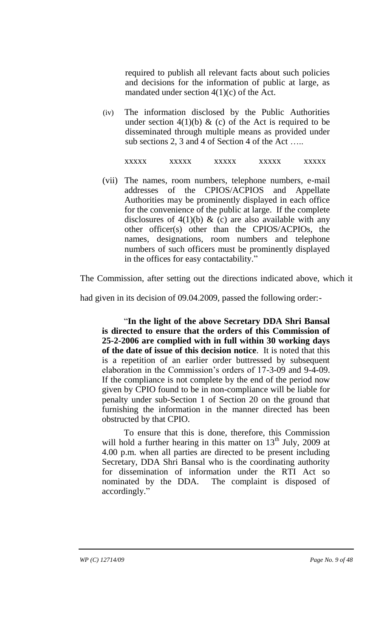required to publish all relevant facts about such policies and decisions for the information of public at large, as mandated under section 4(1)(c) of the Act.

(iv) The information disclosed by the Public Authorities under section  $4(1)(b)$  & (c) of the Act is required to be disseminated through multiple means as provided under sub sections 2, 3 and 4 of Section 4 of the Act  $\ldots$ 

xxxxx xxxxx xxxxx xxxxx xxxxx

(vii) The names, room numbers, telephone numbers, e-mail addresses of the CPIOS/ACPIOS and Appellate Authorities may be prominently displayed in each office for the convenience of the public at large. If the complete disclosures of  $4(1)(b)$  & (c) are also available with any other officer(s) other than the CPIOS/ACPIOs, the names, designations, room numbers and telephone numbers of such officers must be prominently displayed in the offices for easy contactability."

The Commission, after setting out the directions indicated above, which it

had given in its decision of 09.04.2009, passed the following order:-

―**In the light of the above Secretary DDA Shri Bansal is directed to ensure that the orders of this Commission of 25-2-2006 are complied with in full within 30 working days of the date of issue of this decision notice**. It is noted that this is a repetition of an earlier order buttressed by subsequent elaboration in the Commission's orders of 17-3-09 and 9-4-09. If the compliance is not complete by the end of the period now given by CPIO found to be in non-compliance will be liable for penalty under sub-Section 1 of Section 20 on the ground that furnishing the information in the manner directed has been obstructed by that CPIO.

To ensure that this is done, therefore, this Commission will hold a further hearing in this matter on  $13<sup>th</sup>$  July, 2009 at 4.00 p.m. when all parties are directed to be present including Secretary, DDA Shri Bansal who is the coordinating authority for dissemination of information under the RTI Act so nominated by the DDA. The complaint is disposed of accordingly."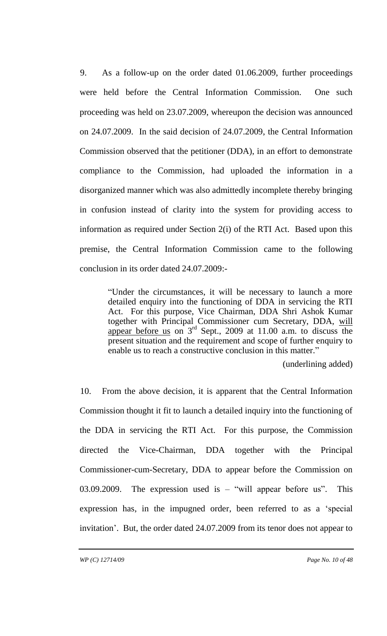9. As a follow-up on the order dated 01.06.2009, further proceedings were held before the Central Information Commission. One such proceeding was held on 23.07.2009, whereupon the decision was announced on 24.07.2009. In the said decision of 24.07.2009, the Central Information Commission observed that the petitioner (DDA), in an effort to demonstrate compliance to the Commission, had uploaded the information in a disorganized manner which was also admittedly incomplete thereby bringing in confusion instead of clarity into the system for providing access to information as required under Section 2(i) of the RTI Act. Based upon this premise, the Central Information Commission came to the following conclusion in its order dated 24.07.2009:-

―Under the circumstances, it will be necessary to launch a more detailed enquiry into the functioning of DDA in servicing the RTI Act. For this purpose, Vice Chairman, DDA Shri Ashok Kumar together with Principal Commissioner cum Secretary, DDA, will appear before us on  $3<sup>rd</sup>$  Sept., 2009 at 11.00 a.m. to discuss the present situation and the requirement and scope of further enquiry to enable us to reach a constructive conclusion in this matter."

(underlining added)

10. From the above decision, it is apparent that the Central Information Commission thought it fit to launch a detailed inquiry into the functioning of the DDA in servicing the RTI Act. For this purpose, the Commission directed the Vice-Chairman, DDA together with the Principal Commissioner-cum-Secretary, DDA to appear before the Commission on 03.09.2009. The expression used is  $-$  "will appear before us". This expression has, in the impugned order, been referred to as a 'special invitation'. But, the order dated 24.07.2009 from its tenor does not appear to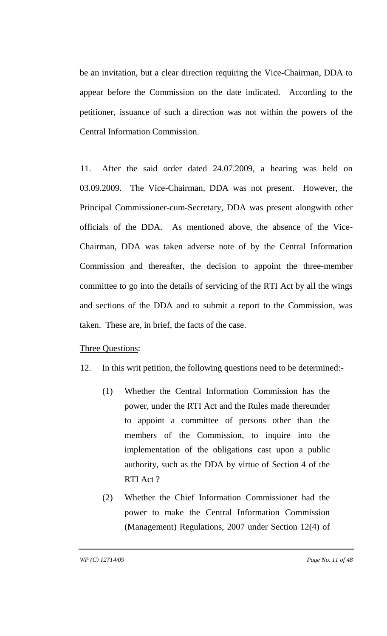be an invitation, but a clear direction requiring the Vice-Chairman, DDA to appear before the Commission on the date indicated. According to the petitioner, issuance of such a direction was not within the powers of the Central Information Commission.

11. After the said order dated 24.07.2009, a hearing was held on 03.09.2009. The Vice-Chairman, DDA was not present. However, the Principal Commissioner-cum-Secretary, DDA was present alongwith other officials of the DDA. As mentioned above, the absence of the Vice-Chairman, DDA was taken adverse note of by the Central Information Commission and thereafter, the decision to appoint the three-member committee to go into the details of servicing of the RTI Act by all the wings and sections of the DDA and to submit a report to the Commission, was taken. These are, in brief, the facts of the case.

### Three Questions:

- 12. In this writ petition, the following questions need to be determined:-
	- (1) Whether the Central Information Commission has the power, under the RTI Act and the Rules made thereunder to appoint a committee of persons other than the members of the Commission, to inquire into the implementation of the obligations cast upon a public authority, such as the DDA by virtue of Section 4 of the RTI Act ?
	- (2) Whether the Chief Information Commissioner had the power to make the Central Information Commission (Management) Regulations, 2007 under Section 12(4) of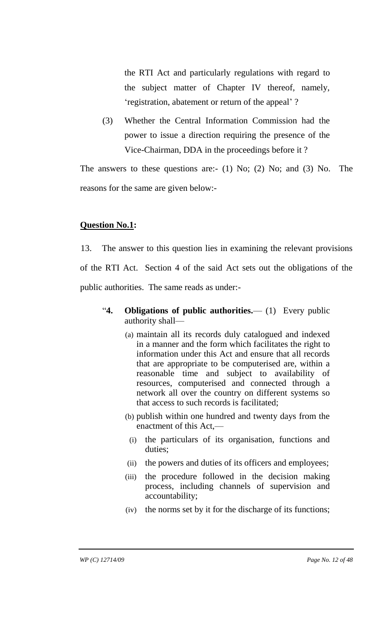the RTI Act and particularly regulations with regard to the subject matter of Chapter IV thereof, namely, registration, abatement or return of the appeal'?

(3) Whether the Central Information Commission had the power to issue a direction requiring the presence of the Vice-Chairman, DDA in the proceedings before it ?

The answers to these questions are:- (1) No; (2) No; and (3) No. The reasons for the same are given below:-

## **Question No.1:**

13. The answer to this question lies in examining the relevant provisions of the RTI Act. Section 4 of the said Act sets out the obligations of the public authorities. The same reads as under:-

- ―**4. Obligations of public authorities.** (1) Every public authority shall—
	- (a) maintain all its records duly catalogued and indexed in a manner and the form which facilitates the right to information under this Act and ensure that all records that are appropriate to be computerised are, within a reasonable time and subject to availability of resources, computerised and connected through a network all over the country on different systems so that access to such records is facilitated;
	- (b) publish within one hundred and twenty days from the enactment of this Act,—
		- (i) the particulars of its organisation, functions and duties;
	- (ii) the powers and duties of its officers and employees;
	- (iii) the procedure followed in the decision making process, including channels of supervision and accountability;
	- (iv) the norms set by it for the discharge of its functions;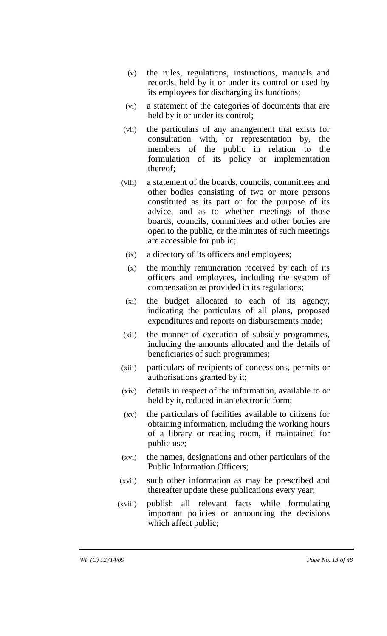- (v) the rules, regulations, instructions, manuals and records, held by it or under its control or used by its employees for discharging its functions;
- (vi) a statement of the categories of documents that are held by it or under its control;
- (vii) the particulars of any arrangement that exists for consultation with, or representation by, the members of the public in relation to the formulation of its policy or implementation thereof;
- (viii) a statement of the boards, councils, committees and other bodies consisting of two or more persons constituted as its part or for the purpose of its advice, and as to whether meetings of those boards, councils, committees and other bodies are open to the public, or the minutes of such meetings are accessible for public;
	- (ix) a directory of its officers and employees;
	- (x) the monthly remuneration received by each of its officers and employees, including the system of compensation as provided in its regulations;
- (xi) the budget allocated to each of its agency, indicating the particulars of all plans, proposed expenditures and reports on disbursements made;
- (xii) the manner of execution of subsidy programmes, including the amounts allocated and the details of beneficiaries of such programmes;
- (xiii) particulars of recipients of concessions, permits or authorisations granted by it;
- (xiv) details in respect of the information, available to or held by it, reduced in an electronic form;
- (xv) the particulars of facilities available to citizens for obtaining information, including the working hours of a library or reading room, if maintained for public use;
- (xvi) the names, designations and other particulars of the Public Information Officers;
- (xvii) such other information as may be prescribed and thereafter update these publications every year;
- (xviii) publish all relevant facts while formulating important policies or announcing the decisions which affect public;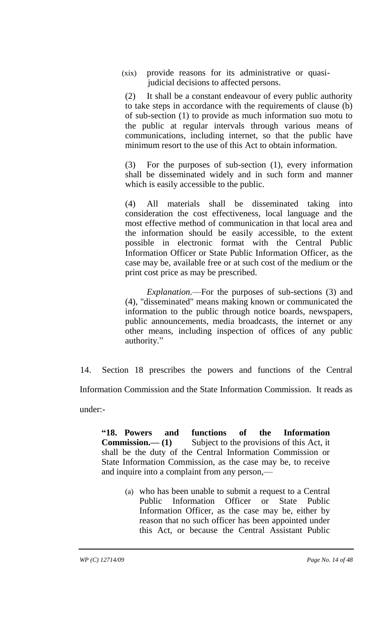(xix) provide reasons for its administrative or quasijudicial decisions to affected persons.

(2) It shall be a constant endeavour of every public authority to take steps in accordance with the requirements of clause (b) of sub-section (1) to provide as much information suo motu to the public at regular intervals through various means of communications, including internet, so that the public have minimum resort to the use of this Act to obtain information.

(3) For the purposes of sub-section (1), every information shall be disseminated widely and in such form and manner which is easily accessible to the public.

(4) All materials shall be disseminated taking into consideration the cost effectiveness, local language and the most effective method of communication in that local area and the information should be easily accessible, to the extent possible in electronic format with the Central Public Information Officer or State Public Information Officer, as the case may be, available free or at such cost of the medium or the print cost price as may be prescribed.

*Explanation.*—For the purposes of sub-sections (3) and (4), "disseminated" means making known or communicated the information to the public through notice boards, newspapers, public announcements, media broadcasts, the internet or any other means, including inspection of offices of any public authority."

14. Section 18 prescribes the powers and functions of the Central Information Commission and the State Information Commission. It reads as under:-

**―18. Powers and functions of the Information Commission.—— (1)** Subject to the provisions of this Act, it shall be the duty of the Central Information Commission or State Information Commission, as the case may be, to receive and inquire into a complaint from any person,—

> (a) who has been unable to submit a request to a Central Public Information Officer or State Public Information Officer, as the case may be, either by reason that no such officer has been appointed under this Act, or because the Central Assistant Public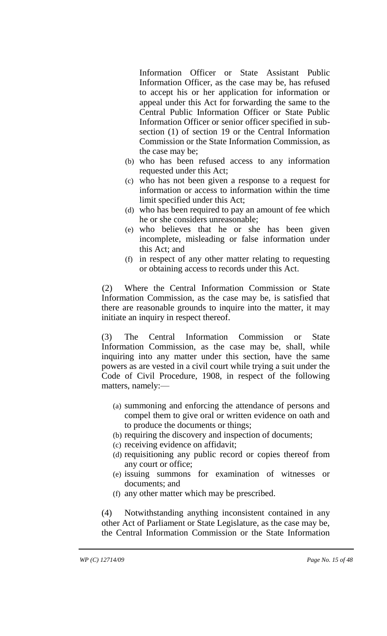Information Officer or State Assistant Public Information Officer, as the case may be, has refused to accept his or her application for information or appeal under this Act for forwarding the same to the Central Public Information Officer or State Public Information Officer or senior officer specified in subsection (1) of section 19 or the Central Information Commission or the State Information Commission, as the case may be;

- (b) who has been refused access to any information requested under this Act;
- (c) who has not been given a response to a request for information or access to information within the time limit specified under this Act;
- (d) who has been required to pay an amount of fee which he or she considers unreasonable;
- (e) who believes that he or she has been given incomplete, misleading or false information under this Act; and
- (f) in respect of any other matter relating to requesting or obtaining access to records under this Act.

(2) Where the Central Information Commission or State Information Commission, as the case may be, is satisfied that there are reasonable grounds to inquire into the matter, it may initiate an inquiry in respect thereof.

(3) The Central Information Commission or State Information Commission, as the case may be, shall, while inquiring into any matter under this section, have the same powers as are vested in a civil court while trying a suit under the Code of Civil Procedure, 1908, in respect of the following matters, namely:—

- (a) summoning and enforcing the attendance of persons and compel them to give oral or written evidence on oath and to produce the documents or things;
- (b) requiring the discovery and inspection of documents;
- (c) receiving evidence on affidavit;
- (d) requisitioning any public record or copies thereof from any court or office;
- (e) issuing summons for examination of witnesses or documents; and
- (f) any other matter which may be prescribed.

(4) Notwithstanding anything inconsistent contained in any other Act of Parliament or State Legislature, as the case may be, the Central Information Commission or the State Information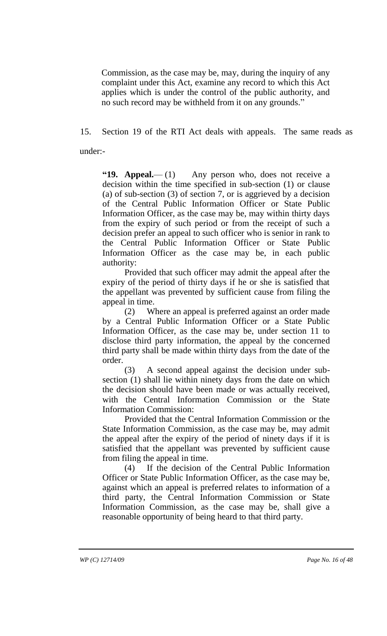Commission, as the case may be, may, during the inquiry of any complaint under this Act, examine any record to which this Act applies which is under the control of the public authority, and no such record may be withheld from it on any grounds."

15. Section 19 of the RTI Act deals with appeals. The same reads as

under:-

**"19. Appeal.**—(1) Any person who, does not receive a decision within the time specified in sub-section (1) or clause (a) of sub-section (3) of section 7, or is aggrieved by a decision of the Central Public Information Officer or State Public Information Officer, as the case may be, may within thirty days from the expiry of such period or from the receipt of such a decision prefer an appeal to such officer who is senior in rank to the Central Public Information Officer or State Public Information Officer as the case may be, in each public authority:

Provided that such officer may admit the appeal after the expiry of the period of thirty days if he or she is satisfied that the appellant was prevented by sufficient cause from filing the appeal in time.

(2) Where an appeal is preferred against an order made by a Central Public Information Officer or a State Public Information Officer, as the case may be, under section 11 to disclose third party information, the appeal by the concerned third party shall be made within thirty days from the date of the order.

(3) A second appeal against the decision under subsection (1) shall lie within ninety days from the date on which the decision should have been made or was actually received, with the Central Information Commission or the State Information Commission:

Provided that the Central Information Commission or the State Information Commission, as the case may be, may admit the appeal after the expiry of the period of ninety days if it is satisfied that the appellant was prevented by sufficient cause from filing the appeal in time.

(4) If the decision of the Central Public Information Officer or State Public Information Officer, as the case may be, against which an appeal is preferred relates to information of a third party, the Central Information Commission or State Information Commission, as the case may be, shall give a reasonable opportunity of being heard to that third party.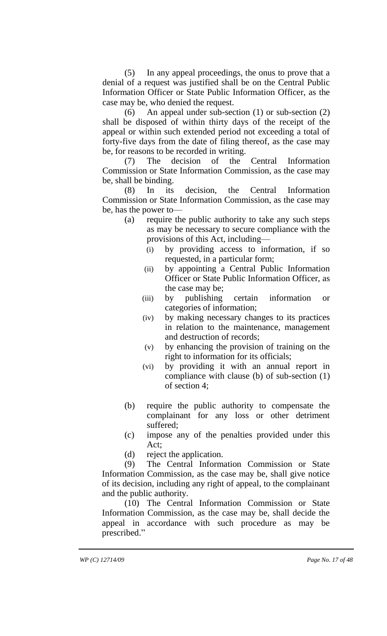(5) In any appeal proceedings, the onus to prove that a denial of a request was justified shall be on the Central Public Information Officer or State Public Information Officer, as the case may be, who denied the request.

(6) An appeal under sub-section (1) or sub-section (2) shall be disposed of within thirty days of the receipt of the appeal or within such extended period not exceeding a total of forty-five days from the date of filing thereof, as the case may be, for reasons to be recorded in writing.

(7) The decision of the Central Information Commission or State Information Commission, as the case may be, shall be binding.

(8) In its decision, the Central Information Commission or State Information Commission, as the case may be, has the power to—

- (a) require the public authority to take any such steps as may be necessary to secure compliance with the provisions of this Act, including—
	- (i) by providing access to information, if so requested, in a particular form;
	- (ii) by appointing a Central Public Information Officer or State Public Information Officer, as the case may be;
	- (iii) by publishing certain information or categories of information;
	- (iv) by making necessary changes to its practices in relation to the maintenance, management and destruction of records;
	- (v) by enhancing the provision of training on the right to information for its officials;
	- (vi) by providing it with an annual report in compliance with clause (b) of sub-section (1) of section 4;
- (b) require the public authority to compensate the complainant for any loss or other detriment suffered;
- (c) impose any of the penalties provided under this Act;
- (d) reject the application.

(9) The Central Information Commission or State Information Commission, as the case may be, shall give notice of its decision, including any right of appeal, to the complainant and the public authority.

(10) The Central Information Commission or State Information Commission, as the case may be, shall decide the appeal in accordance with such procedure as may be prescribed."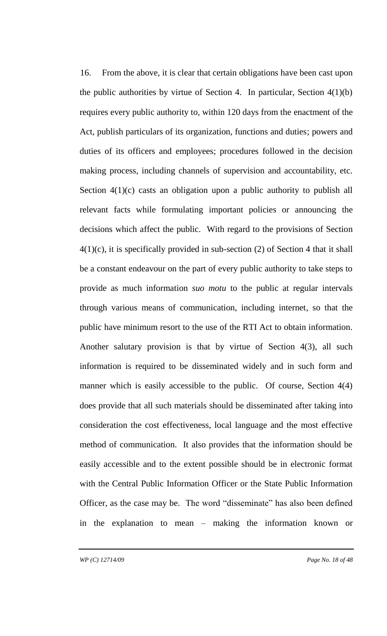16. From the above, it is clear that certain obligations have been cast upon the public authorities by virtue of Section 4. In particular, Section 4(1)(b) requires every public authority to, within 120 days from the enactment of the Act, publish particulars of its organization, functions and duties; powers and duties of its officers and employees; procedures followed in the decision making process, including channels of supervision and accountability, etc. Section  $4(1)(c)$  casts an obligation upon a public authority to publish all relevant facts while formulating important policies or announcing the decisions which affect the public. With regard to the provisions of Section  $4(1)(c)$ , it is specifically provided in sub-section (2) of Section 4 that it shall be a constant endeavour on the part of every public authority to take steps to provide as much information *suo motu* to the public at regular intervals through various means of communication, including internet, so that the public have minimum resort to the use of the RTI Act to obtain information. Another salutary provision is that by virtue of Section 4(3), all such information is required to be disseminated widely and in such form and manner which is easily accessible to the public. Of course, Section 4(4) does provide that all such materials should be disseminated after taking into consideration the cost effectiveness, local language and the most effective method of communication. It also provides that the information should be easily accessible and to the extent possible should be in electronic format with the Central Public Information Officer or the State Public Information Officer, as the case may be. The word "disseminate" has also been defined in the explanation to mean – making the information known or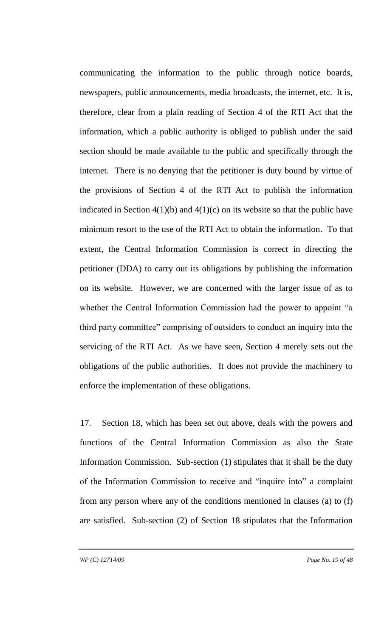communicating the information to the public through notice boards, newspapers, public announcements, media broadcasts, the internet, etc. It is, therefore, clear from a plain reading of Section 4 of the RTI Act that the information, which a public authority is obliged to publish under the said section should be made available to the public and specifically through the internet. There is no denying that the petitioner is duty bound by virtue of the provisions of Section 4 of the RTI Act to publish the information indicated in Section  $4(1)(b)$  and  $4(1)(c)$  on its website so that the public have minimum resort to the use of the RTI Act to obtain the information. To that extent, the Central Information Commission is correct in directing the petitioner (DDA) to carry out its obligations by publishing the information on its website. However, we are concerned with the larger issue of as to whether the Central Information Commission had the power to appoint "a third party committee" comprising of outsiders to conduct an inquiry into the servicing of the RTI Act. As we have seen, Section 4 merely sets out the obligations of the public authorities. It does not provide the machinery to enforce the implementation of these obligations.

17. Section 18, which has been set out above, deals with the powers and functions of the Central Information Commission as also the State Information Commission. Sub-section (1) stipulates that it shall be the duty of the Information Commission to receive and "inquire into" a complaint from any person where any of the conditions mentioned in clauses (a) to (f) are satisfied. Sub-section (2) of Section 18 stipulates that the Information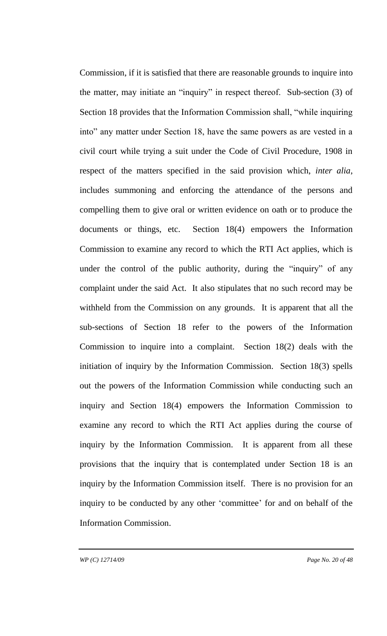Commission, if it is satisfied that there are reasonable grounds to inquire into the matter, may initiate an "inquiry" in respect thereof. Sub-section  $(3)$  of Section 18 provides that the Information Commission shall, "while inquiring into" any matter under Section 18, have the same powers as are vested in a civil court while trying a suit under the Code of Civil Procedure, 1908 in respect of the matters specified in the said provision which, *inter alia*, includes summoning and enforcing the attendance of the persons and compelling them to give oral or written evidence on oath or to produce the documents or things, etc. Section 18(4) empowers the Information Commission to examine any record to which the RTI Act applies, which is under the control of the public authority, during the "inquiry" of any complaint under the said Act. It also stipulates that no such record may be withheld from the Commission on any grounds. It is apparent that all the sub-sections of Section 18 refer to the powers of the Information Commission to inquire into a complaint. Section 18(2) deals with the initiation of inquiry by the Information Commission. Section 18(3) spells out the powers of the Information Commission while conducting such an inquiry and Section 18(4) empowers the Information Commission to examine any record to which the RTI Act applies during the course of inquiry by the Information Commission. It is apparent from all these provisions that the inquiry that is contemplated under Section 18 is an inquiry by the Information Commission itself. There is no provision for an inquiry to be conducted by any other 'committee' for and on behalf of the Information Commission.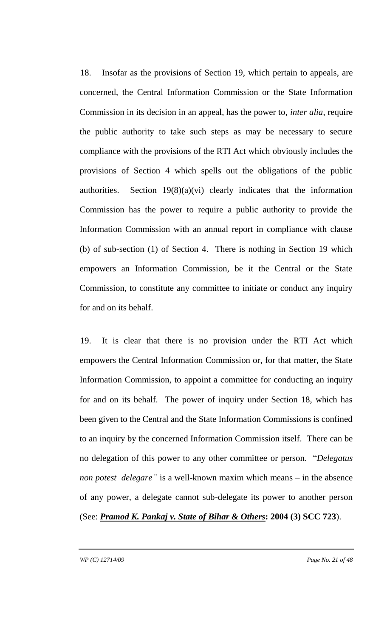18. Insofar as the provisions of Section 19, which pertain to appeals, are concerned, the Central Information Commission or the State Information Commission in its decision in an appeal, has the power to, *inter alia*, require the public authority to take such steps as may be necessary to secure compliance with the provisions of the RTI Act which obviously includes the provisions of Section 4 which spells out the obligations of the public authorities. Section  $19(8)(a)(vi)$  clearly indicates that the information Commission has the power to require a public authority to provide the Information Commission with an annual report in compliance with clause (b) of sub-section (1) of Section 4. There is nothing in Section 19 which empowers an Information Commission, be it the Central or the State Commission, to constitute any committee to initiate or conduct any inquiry for and on its behalf.

19. It is clear that there is no provision under the RTI Act which empowers the Central Information Commission or, for that matter, the State Information Commission, to appoint a committee for conducting an inquiry for and on its behalf. The power of inquiry under Section 18, which has been given to the Central and the State Information Commissions is confined to an inquiry by the concerned Information Commission itself. There can be no delegation of this power to any other committee or person. ―*Delegatus non potest delegare"* is a well-known maxim which means – in the absence of any power, a delegate cannot sub-delegate its power to another person (See: *Pramod K. Pankaj v. State of Bihar & Others***: 2004 (3) SCC 723**).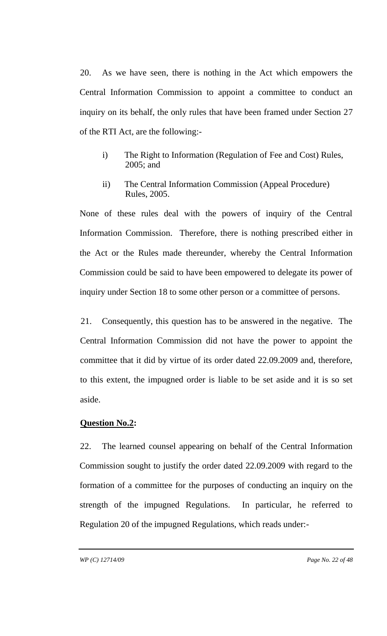20. As we have seen, there is nothing in the Act which empowers the Central Information Commission to appoint a committee to conduct an inquiry on its behalf, the only rules that have been framed under Section 27 of the RTI Act, are the following:-

- i) The Right to Information (Regulation of Fee and Cost) Rules, 2005; and
- ii) The Central Information Commission (Appeal Procedure) Rules, 2005.

None of these rules deal with the powers of inquiry of the Central Information Commission. Therefore, there is nothing prescribed either in the Act or the Rules made thereunder, whereby the Central Information Commission could be said to have been empowered to delegate its power of inquiry under Section 18 to some other person or a committee of persons.

21. Consequently, this question has to be answered in the negative. The Central Information Commission did not have the power to appoint the committee that it did by virtue of its order dated 22.09.2009 and, therefore, to this extent, the impugned order is liable to be set aside and it is so set aside.

# **Question No.2:**

22. The learned counsel appearing on behalf of the Central Information Commission sought to justify the order dated 22.09.2009 with regard to the formation of a committee for the purposes of conducting an inquiry on the strength of the impugned Regulations. In particular, he referred to Regulation 20 of the impugned Regulations, which reads under:-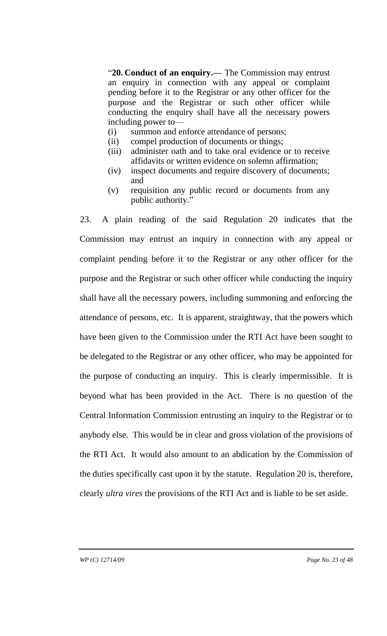―**20. Conduct of an enquiry.—** The Commission may entrust an enquiry in connection with any appeal or complaint pending before it to the Registrar or any other officer for the purpose and the Registrar or such other officer while conducting the enquiry shall have all the necessary powers including power to—

- (i) summon and enforce attendance of persons;
- (ii) compel production of documents or things;
- (iii) administer oath and to take oral evidence or to receive affidavits or written evidence on solemn affirmation;
- (iv) inspect documents and require discovery of documents; and
- (v) requisition any public record or documents from any public authority."

23. A plain reading of the said Regulation 20 indicates that the Commission may entrust an inquiry in connection with any appeal or complaint pending before it to the Registrar or any other officer for the purpose and the Registrar or such other officer while conducting the inquiry shall have all the necessary powers, including summoning and enforcing the attendance of persons, etc. It is apparent, straightway, that the powers which have been given to the Commission under the RTI Act have been sought to be delegated to the Registrar or any other officer, who may be appointed for the purpose of conducting an inquiry. This is clearly impermissible. It is beyond what has been provided in the Act. There is no question of the Central Information Commission entrusting an inquiry to the Registrar or to anybody else. This would be in clear and gross violation of the provisions of the RTI Act. It would also amount to an abdication by the Commission of the duties specifically cast upon it by the statute. Regulation 20 is, therefore, clearly *ultra vires* the provisions of the RTI Act and is liable to be set aside.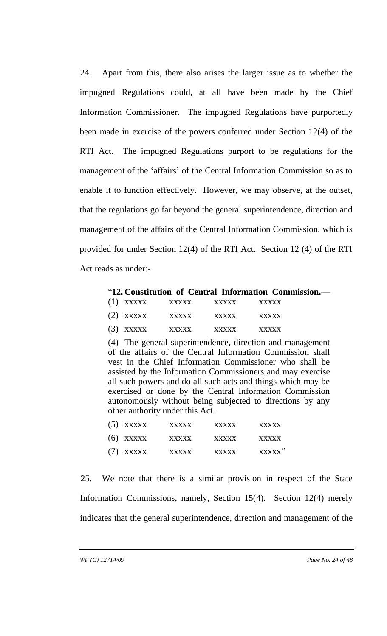24. Apart from this, there also arises the larger issue as to whether the impugned Regulations could, at all have been made by the Chief Information Commissioner. The impugned Regulations have purportedly been made in exercise of the powers conferred under Section 12(4) of the RTI Act. The impugned Regulations purport to be regulations for the management of the 'affairs' of the Central Information Commission so as to enable it to function effectively. However, we may observe, at the outset, that the regulations go far beyond the general superintendence, direction and management of the affairs of the Central Information Commission, which is provided for under Section 12(4) of the RTI Act. Section 12 (4) of the RTI Act reads as under:-

―**12. Constitution of Central Information Commission.**—

| (1) XXXXX XXXXX XXXXX XXXXX |  |  |
|-----------------------------|--|--|
| (2) XXXXX XXXXX XXXXX XXXXX |  |  |
| (3) XXXXX XXXXX XXXXX XXXXX |  |  |

(4) The general superintendence, direction and management of the affairs of the Central Information Commission shall vest in the Chief Information Commissioner who shall be assisted by the Information Commissioners and may exercise all such powers and do all such acts and things which may be exercised or done by the Central Information Commission autonomously without being subjected to directions by any other authority under this Act.

| (5) XXXXX XXXXX XXXXX XXXXX  |  |  |
|------------------------------|--|--|
| (6) XXXXX XXXXX XXXXX XXXXX  |  |  |
| (7) XXXXX XXXXX XXXXX XXXXX" |  |  |

25. We note that there is a similar provision in respect of the State Information Commissions, namely, Section 15(4). Section 12(4) merely indicates that the general superintendence, direction and management of the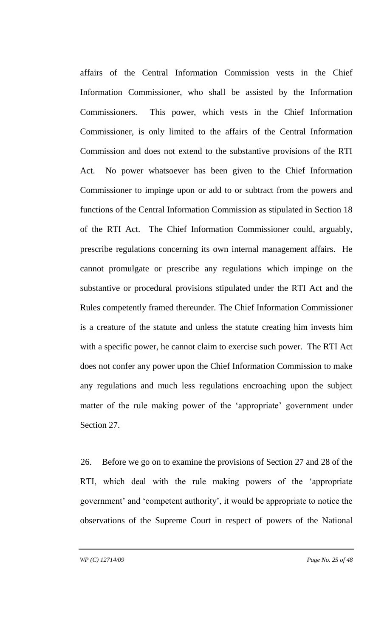affairs of the Central Information Commission vests in the Chief Information Commissioner, who shall be assisted by the Information Commissioners. This power, which vests in the Chief Information Commissioner, is only limited to the affairs of the Central Information Commission and does not extend to the substantive provisions of the RTI Act. No power whatsoever has been given to the Chief Information Commissioner to impinge upon or add to or subtract from the powers and functions of the Central Information Commission as stipulated in Section 18 of the RTI Act. The Chief Information Commissioner could, arguably, prescribe regulations concerning its own internal management affairs. He cannot promulgate or prescribe any regulations which impinge on the substantive or procedural provisions stipulated under the RTI Act and the Rules competently framed thereunder. The Chief Information Commissioner is a creature of the statute and unless the statute creating him invests him with a specific power, he cannot claim to exercise such power. The RTI Act does not confer any power upon the Chief Information Commission to make any regulations and much less regulations encroaching upon the subject matter of the rule making power of the 'appropriate' government under Section 27.

26. Before we go on to examine the provisions of Section 27 and 28 of the RTI, which deal with the rule making powers of the 'appropriate government' and ‗competent authority', it would be appropriate to notice the observations of the Supreme Court in respect of powers of the National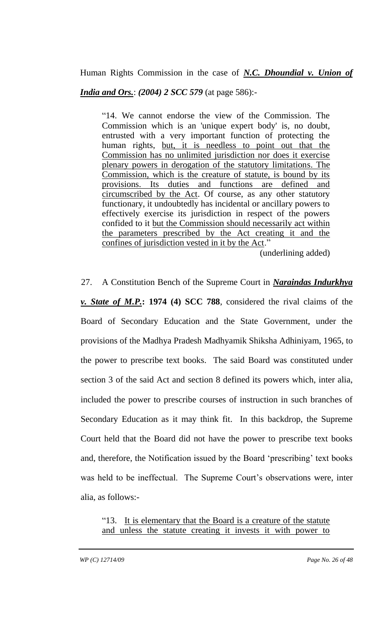Human Rights Commission in the case of *N.C. Dhoundial v. Union of* 

*India and Ors.*: *(2004) 2 SCC 579* (at page 586):-

―14. We cannot endorse the view of the Commission. The Commission which is an 'unique expert body' is, no doubt, entrusted with a very important function of protecting the human rights, but, it is needless to point out that the Commission has no unlimited jurisdiction nor does it exercise plenary powers in derogation of the statutory limitations. The Commission, which is the creature of statute, is bound by its provisions. Its duties and functions are defined and circumscribed by the Act. Of course, as any other statutory functionary, it undoubtedly has incidental or ancillary powers to effectively exercise its jurisdiction in respect of the powers confided to it but the Commission should necessarily act within the parameters prescribed by the Act creating it and the confines of jurisdiction vested in it by the Act."

(underlining added)

27. A Constitution Bench of the Supreme Court in *Naraindas Indurkhya v. State of M.P.***: 1974 (4) SCC 788**, considered the rival claims of the Board of Secondary Education and the State Government, under the provisions of the Madhya Pradesh Madhyamik Shiksha Adhiniyam, 1965, to the power to prescribe text books. The said Board was constituted under section 3 of the said Act and section 8 defined its powers which, inter alia, included the power to prescribe courses of instruction in such branches of Secondary Education as it may think fit. In this backdrop, the Supreme Court held that the Board did not have the power to prescribe text books and, therefore, the Notification issued by the Board 'prescribing' text books was held to be ineffectual. The Supreme Court's observations were, inter alia, as follows:-

―13. It is elementary that the Board is a creature of the statute and unless the statute creating it invests it with power to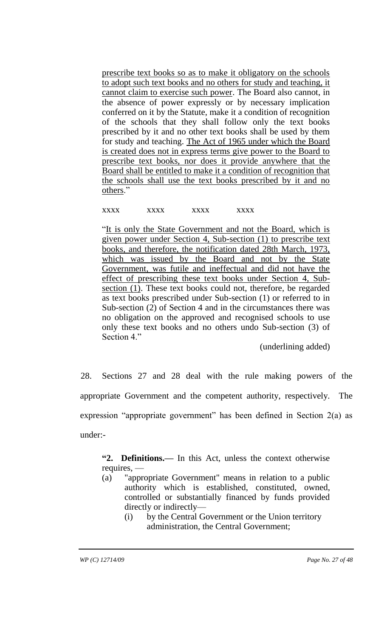prescribe text books so as to make it obligatory on the schools to adopt such text books and no others for study and teaching, it cannot claim to exercise such power. The Board also cannot, in the absence of power expressly or by necessary implication conferred on it by the Statute, make it a condition of recognition of the schools that they shall follow only the text books prescribed by it and no other text books shall be used by them for study and teaching. The Act of 1965 under which the Board is created does not in express terms give power to the Board to prescribe text books, nor does it provide anywhere that the Board shall be entitled to make it a condition of recognition that the schools shall use the text books prescribed by it and no others."

xxxx xxxx xxxx xxxx

"It is only the State Government and not the Board, which is given power under Section 4, Sub-section (1) to prescribe text books, and therefore, the notification dated 28th March, 1973, which was issued by the Board and not by the State Government, was futile and ineffectual and did not have the effect of prescribing these text books under Section 4, Subsection (1). These text books could not, therefore, be regarded as text books prescribed under Sub-section (1) or referred to in Sub-section (2) of Section 4 and in the circumstances there was no obligation on the approved and recognised schools to use only these text books and no others undo Sub-section (3) of Section 4."

(underlining added)

28. Sections 27 and 28 deal with the rule making powers of the appropriate Government and the competent authority, respectively. The expression "appropriate government" has been defined in Section  $2(a)$  as under:-

**―2. Definitions.—** In this Act, unless the context otherwise requires, —

- (a) "appropriate Government" means in relation to a public authority which is established, constituted, owned, controlled or substantially financed by funds provided directly or indirectly—
	- (i) by the Central Government or the Union territory administration, the Central Government;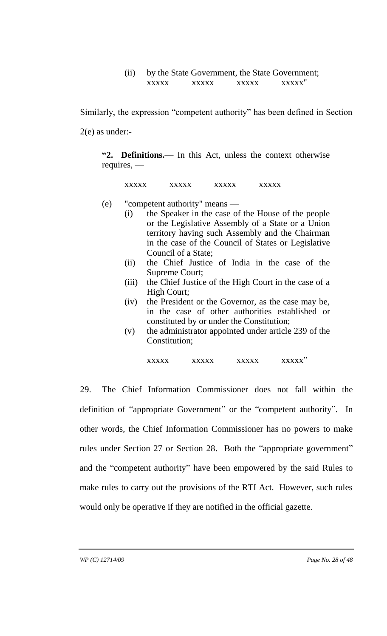(ii) by the State Government, the State Government; xxxxx xxxxx xxxxx xxxxx"

Similarly, the expression "competent authority" has been defined in Section 2(e) as under:-

**―2. Definitions.—** In this Act, unless the context otherwise requires, —

xxxxx xxxxx xxxxx xxxxx

- (e) "competent authority" means
	- (i) the Speaker in the case of the House of the people or the Legislative Assembly of a State or a Union territory having such Assembly and the Chairman in the case of the Council of States or Legislative Council of a State;
	- (ii) the Chief Justice of India in the case of the Supreme Court;
	- (iii) the Chief Justice of the High Court in the case of a High Court;
	- (iv) the President or the Governor, as the case may be, in the case of other authorities established or constituted by or under the Constitution;
	- (v) the administrator appointed under article 239 of the Constitution;

xxxxx xxxxx xxxxx<sup>3</sup>

29. The Chief Information Commissioner does not fall within the definition of "appropriate Government" or the "competent authority". In other words, the Chief Information Commissioner has no powers to make rules under Section 27 or Section 28. Both the "appropriate government" and the "competent authority" have been empowered by the said Rules to make rules to carry out the provisions of the RTI Act. However, such rules would only be operative if they are notified in the official gazette.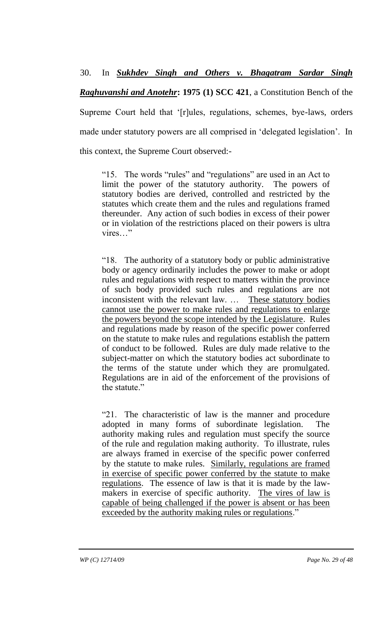30. In *Sukhdev Singh and Others v. Bhagatram Sardar Singh Raghuvanshi and Anotehr***: 1975 (1) SCC 421**, a Constitution Bench of the Supreme Court held that '[r]ules, regulations, schemes, bye-laws, orders made under statutory powers are all comprised in 'delegated legislation'. In this context, the Supreme Court observed:-

"15. The words "rules" and "regulations" are used in an Act to limit the power of the statutory authority. The powers of statutory bodies are derived, controlled and restricted by the statutes which create them and the rules and regulations framed thereunder. Any action of such bodies in excess of their power or in violation of the restrictions placed on their powers is ultra vires…"

―18. The authority of a statutory body or public administrative body or agency ordinarily includes the power to make or adopt rules and regulations with respect to matters within the province of such body provided such rules and regulations are not inconsistent with the relevant law. ... These statutory bodies cannot use the power to make rules and regulations to enlarge the powers beyond the scope intended by the Legislature. Rules and regulations made by reason of the specific power conferred on the statute to make rules and regulations establish the pattern of conduct to be followed. Rules are duly made relative to the subject-matter on which the statutory bodies act subordinate to the terms of the statute under which they are promulgated. Regulations are in aid of the enforcement of the provisions of the statute."

―21. The characteristic of law is the manner and procedure adopted in many forms of subordinate legislation. The authority making rules and regulation must specify the source of the rule and regulation making authority. To illustrate, rules are always framed in exercise of the specific power conferred by the statute to make rules. Similarly, regulations are framed in exercise of specific power conferred by the statute to make regulations. The essence of law is that it is made by the lawmakers in exercise of specific authority. The vires of law is capable of being challenged if the power is absent or has been exceeded by the authority making rules or regulations."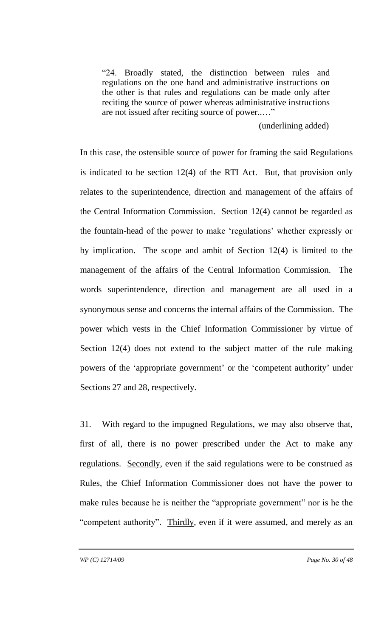―24. Broadly stated, the distinction between rules and regulations on the one hand and administrative instructions on the other is that rules and regulations can be made only after reciting the source of power whereas administrative instructions are not issued after reciting source of power....."

(underlining added)

In this case, the ostensible source of power for framing the said Regulations is indicated to be section 12(4) of the RTI Act. But, that provision only relates to the superintendence, direction and management of the affairs of the Central Information Commission. Section 12(4) cannot be regarded as the fountain-head of the power to make ‗regulations' whether expressly or by implication. The scope and ambit of Section 12(4) is limited to the management of the affairs of the Central Information Commission. The words superintendence, direction and management are all used in a synonymous sense and concerns the internal affairs of the Commission. The power which vests in the Chief Information Commissioner by virtue of Section 12(4) does not extend to the subject matter of the rule making powers of the ‗appropriate government' or the ‗competent authority' under Sections 27 and 28, respectively.

31. With regard to the impugned Regulations, we may also observe that, first of all, there is no power prescribed under the Act to make any regulations. Secondly, even if the said regulations were to be construed as Rules, the Chief Information Commissioner does not have the power to make rules because he is neither the "appropriate government" nor is he the "competent authority". Thirdly, even if it were assumed, and merely as an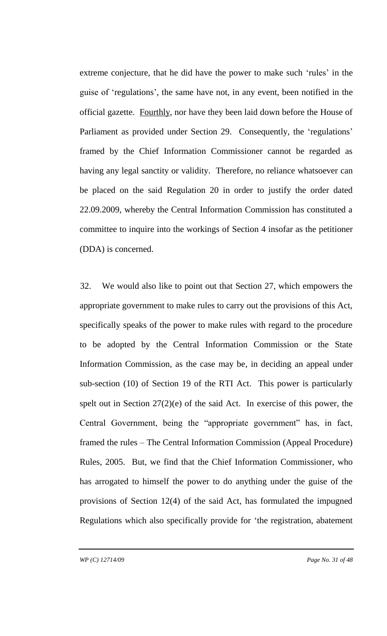extreme conjecture, that he did have the power to make such 'rules' in the guise of ‗regulations', the same have not, in any event, been notified in the official gazette. Fourthly, nor have they been laid down before the House of Parliament as provided under Section 29. Consequently, the 'regulations' framed by the Chief Information Commissioner cannot be regarded as having any legal sanctity or validity. Therefore, no reliance whatsoever can be placed on the said Regulation 20 in order to justify the order dated 22.09.2009, whereby the Central Information Commission has constituted a committee to inquire into the workings of Section 4 insofar as the petitioner (DDA) is concerned.

32. We would also like to point out that Section 27, which empowers the appropriate government to make rules to carry out the provisions of this Act, specifically speaks of the power to make rules with regard to the procedure to be adopted by the Central Information Commission or the State Information Commission, as the case may be, in deciding an appeal under sub-section (10) of Section 19 of the RTI Act. This power is particularly spelt out in Section 27(2)(e) of the said Act. In exercise of this power, the Central Government, being the "appropriate government" has, in fact, framed the rules – The Central Information Commission (Appeal Procedure) Rules, 2005. But, we find that the Chief Information Commissioner, who has arrogated to himself the power to do anything under the guise of the provisions of Section 12(4) of the said Act, has formulated the impugned Regulations which also specifically provide for 'the registration, abatement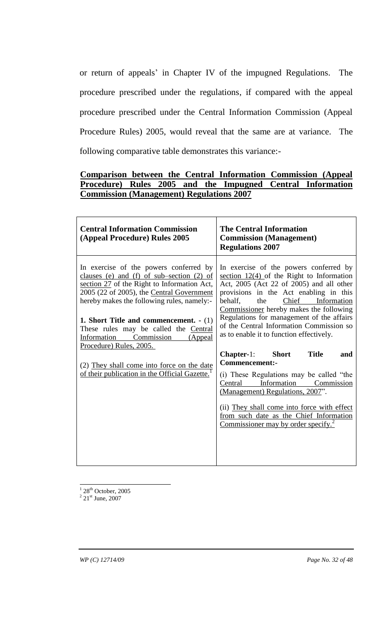or return of appeals' in Chapter IV of the impugned Regulations. The procedure prescribed under the regulations, if compared with the appeal procedure prescribed under the Central Information Commission (Appeal Procedure Rules) 2005, would reveal that the same are at variance. The following comparative table demonstrates this variance:-

### **Comparison between the Central Information Commission (Appeal Procedure) Rules 2005 and the Impugned Central Information Commission (Management) Regulations 2007**

| <b>Central Information Commission</b><br>(Appeal Procedure) Rules 2005                                                                                                                                                                                                                                                                                                                                                                                                                      | <b>The Central Information</b><br><b>Commission</b> (Management)<br><b>Regulations 2007</b>                                                                                                                                                                                                                                                                                                                                                                                                                                                                                                                                                                                                                                                                |
|---------------------------------------------------------------------------------------------------------------------------------------------------------------------------------------------------------------------------------------------------------------------------------------------------------------------------------------------------------------------------------------------------------------------------------------------------------------------------------------------|------------------------------------------------------------------------------------------------------------------------------------------------------------------------------------------------------------------------------------------------------------------------------------------------------------------------------------------------------------------------------------------------------------------------------------------------------------------------------------------------------------------------------------------------------------------------------------------------------------------------------------------------------------------------------------------------------------------------------------------------------------|
| In exercise of the powers conferred by<br>clauses (e) and (f) of sub-section $(2)$ of<br>section 27 of the Right to Information Act,<br>2005 (22 of 2005), the Central Government<br>hereby makes the following rules, namely:-<br><b>1. Short Title and commencement.</b> - (1)<br>These rules may be called the Central<br>Information<br>Commission<br>(Appeal<br>Procedure) Rules, 2005.<br>(2) They shall come into force on the date<br>of their publication in the Official Gazette. | In exercise of the powers conferred by<br>section $12(4)$ of the Right to Information<br>Act, 2005 (Act 22 of 2005) and all other<br>provisions in the Act enabling in this<br>Chief<br>behalf,<br>the<br>Information<br>Commissioner hereby makes the following<br>Regulations for management of the affairs<br>of the Central Information Commission so<br>as to enable it to function effectively.<br><b>Short</b><br><b>Title</b><br>$Chapter-1$ :<br>and<br>Commencement:-<br>(i) These Regulations may be called "the<br>Information<br>Commission<br>Central<br>(Management) Regulations, 2007".<br>(ii) They shall come into force with effect<br>from such date as the Chief Information<br><u>Commissioner may by order specify.<sup>2</sup></u> |

 $\frac{1}{28}$ <sup>th</sup> October, 2005

 $2^{2}$  21<sup>st</sup> June, 2007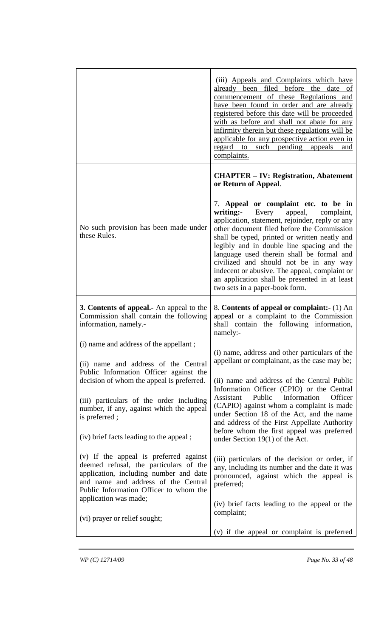| (iii) Appeals and Complaints which have<br>already been filed before the date of<br>commencement of these Regulations and<br>have been found in order and are already<br>registered before this date will be proceeded<br>with as before and shall not abate for any<br>infirmity therein but these regulations will be<br>applicable for any prospective action even in<br>regard to such pending appeals<br>and<br>complaints.                                                                                                                                                                                                                                                                                                                   |
|----------------------------------------------------------------------------------------------------------------------------------------------------------------------------------------------------------------------------------------------------------------------------------------------------------------------------------------------------------------------------------------------------------------------------------------------------------------------------------------------------------------------------------------------------------------------------------------------------------------------------------------------------------------------------------------------------------------------------------------------------|
| <b>CHAPTER – IV: Registration, Abatement</b><br>or Return of Appeal.<br>7. Appeal or complaint etc. to be in<br>writing:-<br>Every<br>appeal,<br>complaint,<br>application, statement, rejoinder, reply or any<br>other document filed before the Commission<br>shall be typed, printed or written neatly and<br>legibly and in double line spacing and the<br>language used therein shall be formal and<br>civilized and should not be in any way<br>indecent or abusive. The appeal, complaint or<br>an application shall be presented in at least<br>two sets in a paper-book form.                                                                                                                                                             |
| 8. Contents of appeal or complaint: (1) An<br>appeal or a complaint to the Commission<br>shall contain the following information,<br>namely:-                                                                                                                                                                                                                                                                                                                                                                                                                                                                                                                                                                                                      |
| (i) name, address and other particulars of the<br>appellant or complainant, as the case may be;<br>(ii) name and address of the Central Public<br>Information Officer (CPIO) or the Central<br>Public<br>Information<br>Officer<br>Assistant<br>(CAPIO) against whom a complaint is made<br>under Section 18 of the Act, and the name<br>and address of the First Appellate Authority<br>before whom the first appeal was preferred<br>under Section $19(1)$ of the Act.<br>(iii) particulars of the decision or order, if<br>any, including its number and the date it was<br>pronounced, against which the appeal is<br>preferred;<br>(iv) brief facts leading to the appeal or the<br>complaint;<br>(v) if the appeal or complaint is preferred |
|                                                                                                                                                                                                                                                                                                                                                                                                                                                                                                                                                                                                                                                                                                                                                    |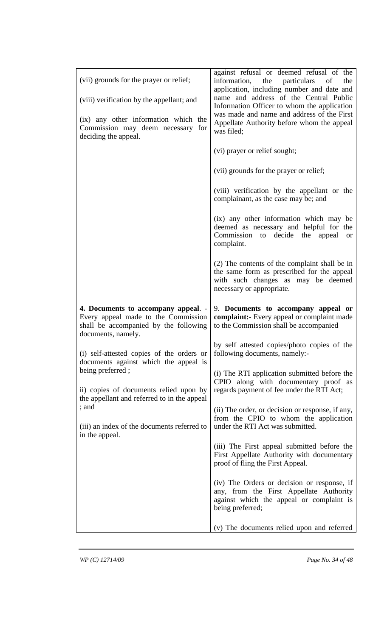| (vii) grounds for the prayer or relief;                                                                                                   | against refusal or deemed refusal of the<br>information,<br>the<br>particulars<br>of<br>the<br>application, including number and date and                                                       |  |
|-------------------------------------------------------------------------------------------------------------------------------------------|-------------------------------------------------------------------------------------------------------------------------------------------------------------------------------------------------|--|
| (viii) verification by the appellant; and                                                                                                 | name and address of the Central Public<br>Information Officer to whom the application<br>was made and name and address of the First<br>Appellate Authority before whom the appeal<br>was filed; |  |
| (ix) any other information which the<br>Commission may deem necessary for<br>deciding the appeal.                                         |                                                                                                                                                                                                 |  |
|                                                                                                                                           | (vi) prayer or relief sought;                                                                                                                                                                   |  |
|                                                                                                                                           | (vii) grounds for the prayer or relief;                                                                                                                                                         |  |
|                                                                                                                                           | (viii) verification by the appellant or the<br>complainant, as the case may be; and                                                                                                             |  |
|                                                                                                                                           | (ix) any other information which may be<br>deemed as necessary and helpful for the<br>Commission to<br>decide<br>the<br>appeal<br><b>or</b><br>complaint.                                       |  |
|                                                                                                                                           | (2) The contents of the complaint shall be in<br>the same form as prescribed for the appeal<br>with such changes as may be deemed<br>necessary or appropriate.                                  |  |
|                                                                                                                                           |                                                                                                                                                                                                 |  |
| 4. Documents to accompany appeal. -<br>Every appeal made to the Commission<br>shall be accompanied by the following<br>documents, namely. | 9. Documents to accompany appeal or<br>complaint:- Every appeal or complaint made<br>to the Commission shall be accompanied                                                                     |  |
| (i) self-attested copies of the orders or<br>documents against which the appeal is                                                        | by self attested copies/photo copies of the<br>following documents, namely:-                                                                                                                    |  |
| being preferred;<br>ii) copies of documents relied upon by                                                                                | (i) The RTI application submitted before the<br>CPIO along with documentary proof as<br>regards payment of fee under the RTI Act;                                                               |  |
| the appellant and referred to in the appeal<br>; and<br>(iii) an index of the documents referred to                                       | (ii) The order, or decision or response, if any,<br>from the CPIO to whom the application<br>under the RTI Act was submitted.                                                                   |  |
| in the appeal.                                                                                                                            | (iii) The First appeal submitted before the<br>First Appellate Authority with documentary<br>proof of fling the First Appeal.                                                                   |  |
|                                                                                                                                           | (iv) The Orders or decision or response, if<br>any, from the First Appellate Authority<br>against which the appeal or complaint is<br>being preferred;                                          |  |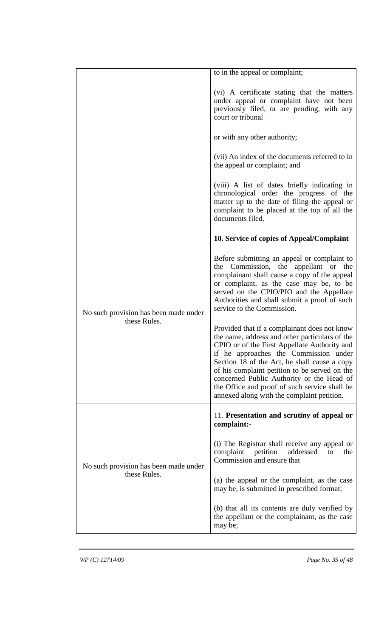|                                                       | to in the appeal or complaint;                                                                                                                                                                                                                                                                                                                                                                                                       |
|-------------------------------------------------------|--------------------------------------------------------------------------------------------------------------------------------------------------------------------------------------------------------------------------------------------------------------------------------------------------------------------------------------------------------------------------------------------------------------------------------------|
|                                                       | (vi) A certificate stating that the matters<br>under appeal or complaint have not been<br>previously filed, or are pending, with any<br>court or tribunal                                                                                                                                                                                                                                                                            |
|                                                       | or with any other authority;                                                                                                                                                                                                                                                                                                                                                                                                         |
|                                                       | (vii) An index of the documents referred to in<br>the appeal or complaint; and                                                                                                                                                                                                                                                                                                                                                       |
|                                                       | (viii) A list of dates briefly indicating in<br>chronological order the progress of the<br>matter up to the date of filing the appeal or<br>complaint to be placed at the top of all the<br>documents filed.                                                                                                                                                                                                                         |
|                                                       | 10. Service of copies of Appeal/Complaint                                                                                                                                                                                                                                                                                                                                                                                            |
| No such provision has been made under<br>these Rules. | Before submitting an appeal or complaint to<br>the Commission, the appellant or the<br>complainant shall cause a copy of the appeal<br>or complaint, as the case may be, to be<br>served on the CPIO/PIO and the Appellate<br>Authorities and shall submit a proof of such<br>service to the Commission.                                                                                                                             |
|                                                       | Provided that if a complainant does not know<br>the name, address and other particulars of the<br>CPIO or of the First Appellate Authority and<br>if he approaches the Commission under<br>Section 18 of the Act, he shall cause a copy<br>of his complaint petition to be served on the<br>concerned Public Authority or the Head of<br>the Office and proof of such service shall be<br>annexed along with the complaint petition. |
| No such provision has been made under<br>these Rules. | 11. Presentation and scrutiny of appeal or<br>complaint:-                                                                                                                                                                                                                                                                                                                                                                            |
|                                                       | (i) The Registrar shall receive any appeal or<br>complaint petition<br>addressed<br>the<br>to<br>Commission and ensure that                                                                                                                                                                                                                                                                                                          |
|                                                       | (a) the appeal or the complaint, as the case<br>may be, is submitted in prescribed format;                                                                                                                                                                                                                                                                                                                                           |
|                                                       | (b) that all its contents are duly verified by<br>the appellant or the complainant, as the case<br>may be;                                                                                                                                                                                                                                                                                                                           |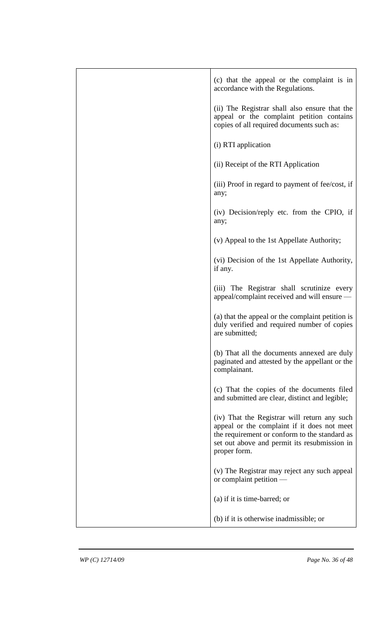| (c) that the appeal or the complaint is in<br>accordance with the Regulations.                                                                                                                               |
|--------------------------------------------------------------------------------------------------------------------------------------------------------------------------------------------------------------|
| (ii) The Registrar shall also ensure that the<br>appeal or the complaint petition contains<br>copies of all required documents such as:                                                                      |
| (i) RTI application                                                                                                                                                                                          |
| (ii) Receipt of the RTI Application                                                                                                                                                                          |
| (iii) Proof in regard to payment of fee/cost, if<br>any;                                                                                                                                                     |
| (iv) Decision/reply etc. from the CPIO, if<br>any;                                                                                                                                                           |
| (v) Appeal to the 1st Appellate Authority;                                                                                                                                                                   |
| (vi) Decision of the 1st Appellate Authority,<br>if any.                                                                                                                                                     |
| (iii) The Registrar shall scrutinize every<br>appeal/complaint received and will ensure —                                                                                                                    |
| (a) that the appeal or the complaint petition is<br>duly verified and required number of copies<br>are submitted;                                                                                            |
| (b) That all the documents annexed are duly<br>paginated and attested by the appellant or the<br>complainant.                                                                                                |
| (c) That the copies of the documents filed<br>and submitted are clear, distinct and legible;                                                                                                                 |
| (iv) That the Registrar will return any such<br>appeal or the complaint if it does not meet<br>the requirement or conform to the standard as<br>set out above and permit its resubmission in<br>proper form. |
| (v) The Registrar may reject any such appeal<br>or complaint petition $-$                                                                                                                                    |
| (a) if it is time-barred; or                                                                                                                                                                                 |
| (b) if it is otherwise inadmissible; or                                                                                                                                                                      |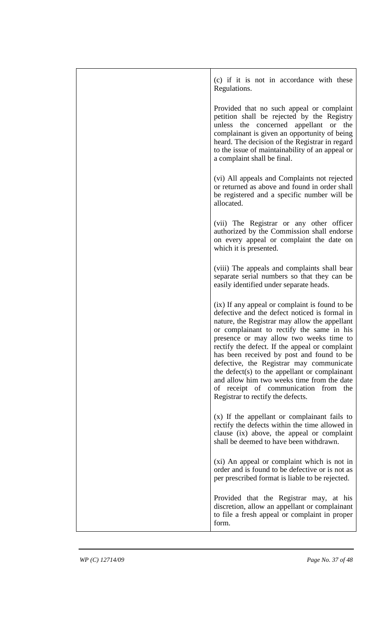| (c) if it is not in accordance with these<br>Regulations.                                                                                                                                                                                                                                                                                                                                                                                                                                                                                                          |
|--------------------------------------------------------------------------------------------------------------------------------------------------------------------------------------------------------------------------------------------------------------------------------------------------------------------------------------------------------------------------------------------------------------------------------------------------------------------------------------------------------------------------------------------------------------------|
| Provided that no such appeal or complaint<br>petition shall be rejected by the Registry<br>unless the concerned appellant or the<br>complainant is given an opportunity of being<br>heard. The decision of the Registrar in regard<br>to the issue of maintainability of an appeal or<br>a complaint shall be final.                                                                                                                                                                                                                                               |
| (vi) All appeals and Complaints not rejected<br>or returned as above and found in order shall<br>be registered and a specific number will be<br>allocated.                                                                                                                                                                                                                                                                                                                                                                                                         |
| (vii) The Registrar or any other officer<br>authorized by the Commission shall endorse<br>on every appeal or complaint the date on<br>which it is presented.                                                                                                                                                                                                                                                                                                                                                                                                       |
| (viii) The appeals and complaints shall bear<br>separate serial numbers so that they can be<br>easily identified under separate heads.                                                                                                                                                                                                                                                                                                                                                                                                                             |
| (ix) If any appeal or complaint is found to be<br>defective and the defect noticed is formal in<br>nature, the Registrar may allow the appellant<br>or complainant to rectify the same in his<br>presence or may allow two weeks time to<br>rectify the defect. If the appeal or complaint<br>has been received by post and found to be<br>defective, the Registrar may communicate<br>the defect $(s)$ to the appellant or complainant<br>and allow him two weeks time from the date<br>of receipt of communication from the<br>Registrar to rectify the defects. |
| (x) If the appellant or complainant fails to<br>rectify the defects within the time allowed in<br>clause (ix) above, the appeal or complaint<br>shall be deemed to have been withdrawn.                                                                                                                                                                                                                                                                                                                                                                            |
| (xi) An appeal or complaint which is not in<br>order and is found to be defective or is not as<br>per prescribed format is liable to be rejected.                                                                                                                                                                                                                                                                                                                                                                                                                  |
| Provided that the Registrar may, at his<br>discretion, allow an appellant or complainant<br>to file a fresh appeal or complaint in proper<br>form.                                                                                                                                                                                                                                                                                                                                                                                                                 |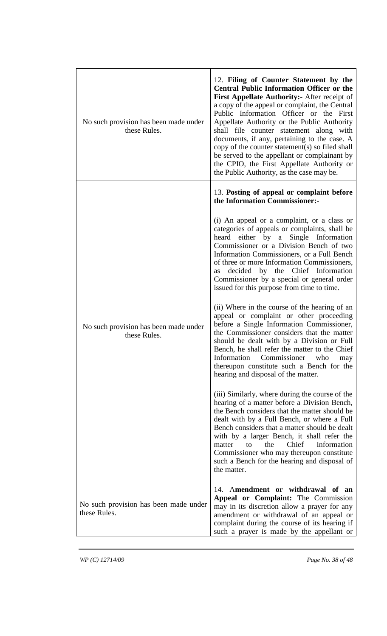| No such provision has been made under<br>these Rules. | 12. Filing of Counter Statement by the<br><b>Central Public Information Officer or the</b><br>First Appellate Authority:- After receipt of<br>a copy of the appeal or complaint, the Central<br>Public Information Officer or the First<br>Appellate Authority or the Public Authority<br>shall file counter statement along with<br>documents, if any, pertaining to the case. A<br>copy of the counter statement(s) so filed shall<br>be served to the appellant or complainant by<br>the CPIO, the First Appellate Authority or<br>the Public Authority, as the case may be.                                                                                                                                                                                                                                                                                                                                                                                                                                                                                                                                                                                                                                                                                                                                                                                                       |
|-------------------------------------------------------|---------------------------------------------------------------------------------------------------------------------------------------------------------------------------------------------------------------------------------------------------------------------------------------------------------------------------------------------------------------------------------------------------------------------------------------------------------------------------------------------------------------------------------------------------------------------------------------------------------------------------------------------------------------------------------------------------------------------------------------------------------------------------------------------------------------------------------------------------------------------------------------------------------------------------------------------------------------------------------------------------------------------------------------------------------------------------------------------------------------------------------------------------------------------------------------------------------------------------------------------------------------------------------------------------------------------------------------------------------------------------------------|
| No such provision has been made under<br>these Rules. | 13. Posting of appeal or complaint before<br>the Information Commissioner:-<br>(i) An appeal or a complaint, or a class or<br>categories of appeals or complaints, shall be<br>heard either by a Single Information<br>Commissioner or a Division Bench of two<br>Information Commissioners, or a Full Bench<br>of three or more Information Commissioners,<br>decided by the Chief Information<br>as<br>Commissioner by a special or general order<br>issued for this purpose from time to time.<br>(ii) Where in the course of the hearing of an<br>appeal or complaint or other proceeding<br>before a Single Information Commissioner,<br>the Commissioner considers that the matter<br>should be dealt with by a Division or Full<br>Bench, he shall refer the matter to the Chief<br>Information<br>Commissioner<br>who<br>may<br>thereupon constitute such a Bench for the<br>hearing and disposal of the matter.<br>(iii) Similarly, where during the course of the<br>hearing of a matter before a Division Bench,<br>the Bench considers that the matter should be<br>dealt with by a Full Bench, or where a Full<br>Bench considers that a matter should be dealt<br>with by a larger Bench, it shall refer the<br>Information<br>the<br>Chief<br>matter<br>to<br>Commissioner who may thereupon constitute<br>such a Bench for the hearing and disposal of<br>the matter. |
| No such provision has been made under<br>these Rules. | 14. Amendment or withdrawal of an<br>Appeal or Complaint: The Commission<br>may in its discretion allow a prayer for any<br>amendment or withdrawal of an appeal or<br>complaint during the course of its hearing if<br>such a prayer is made by the appellant or                                                                                                                                                                                                                                                                                                                                                                                                                                                                                                                                                                                                                                                                                                                                                                                                                                                                                                                                                                                                                                                                                                                     |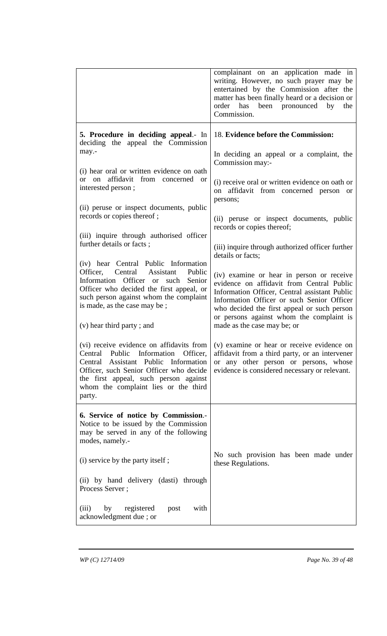|                                                                                                                                                                                                                                                                     | complainant on an application made in<br>writing. However, no such prayer may be<br>entertained by the Commission after the<br>matter has been finally heard or a decision or<br>order has been pronounced<br>by<br>the<br>Commission.                                           |
|---------------------------------------------------------------------------------------------------------------------------------------------------------------------------------------------------------------------------------------------------------------------|----------------------------------------------------------------------------------------------------------------------------------------------------------------------------------------------------------------------------------------------------------------------------------|
| <b>5. Procedure in deciding appeal.</b> In<br>deciding the appeal the Commission<br>may.-                                                                                                                                                                           | 18. Evidence before the Commission:                                                                                                                                                                                                                                              |
| (i) hear oral or written evidence on oath<br>affidavit from concerned<br>on<br><sub>or</sub><br><sub>or</sub><br>interested person;                                                                                                                                 | In deciding an appeal or a complaint, the<br>Commission may:-<br>(i) receive oral or written evidence on oath or<br>on affidavit from concerned person<br><sub>or</sub>                                                                                                          |
| (ii) peruse or inspect documents, public                                                                                                                                                                                                                            | persons;                                                                                                                                                                                                                                                                         |
| records or copies thereof;                                                                                                                                                                                                                                          | (ii) peruse or inspect documents, public<br>records or copies thereof;                                                                                                                                                                                                           |
| (iii) inquire through authorised officer<br>further details or facts;                                                                                                                                                                                               | (iii) inquire through authorized officer further<br>details or facts;                                                                                                                                                                                                            |
| (iv) hear Central Public Information<br>Central<br>Assistant<br>Public<br>Officer,<br>Information Officer or such<br>Senior<br>Officer who decided the first appeal, or<br>such person against whom the complaint<br>is made, as the case may be;                   | (iv) examine or hear in person or receive<br>evidence on affidavit from Central Public<br>Information Officer, Central assistant Public<br>Information Officer or such Senior Officer<br>who decided the first appeal or such person<br>or persons against whom the complaint is |
| (v) hear third party; and                                                                                                                                                                                                                                           | made as the case may be; or                                                                                                                                                                                                                                                      |
| (vi) receive evidence on affidavits from<br>Public Information Officer,<br>Central<br>Central<br>Assistant Public Information<br>Officer, such Senior Officer who decide<br>the first appeal, such person against<br>whom the complaint lies or the third<br>party. | (v) examine or hear or receive evidence on<br>affidavit from a third party, or an intervener<br>or any other person or persons, whose<br>evidence is considered necessary or relevant.                                                                                           |
| 6. Service of notice by Commission.-<br>Notice to be issued by the Commission<br>may be served in any of the following<br>modes, namely.-                                                                                                                           |                                                                                                                                                                                                                                                                                  |
| (i) service by the party itself;                                                                                                                                                                                                                                    | No such provision has been made under<br>these Regulations.                                                                                                                                                                                                                      |
| (ii) by hand delivery (dasti) through<br>Process Server;                                                                                                                                                                                                            |                                                                                                                                                                                                                                                                                  |
| by<br>registered<br>with<br>(iii)<br>post<br>acknowledgment due; or                                                                                                                                                                                                 |                                                                                                                                                                                                                                                                                  |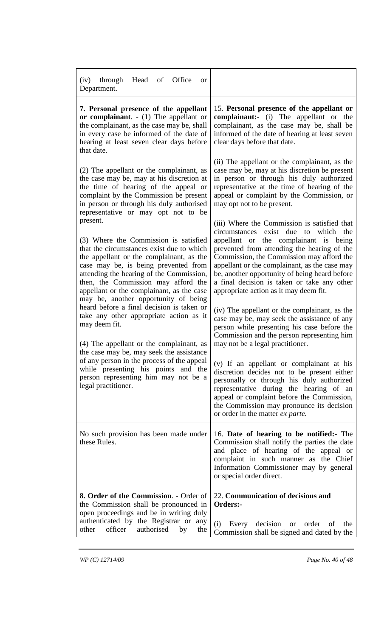| (iv)<br>through<br>Head of Office<br><sub>or</sub><br>Department.                                                                                                                                                                                                                                                                              |                                                                                                                                                                                                                                                                                                                                                                                                                                     |
|------------------------------------------------------------------------------------------------------------------------------------------------------------------------------------------------------------------------------------------------------------------------------------------------------------------------------------------------|-------------------------------------------------------------------------------------------------------------------------------------------------------------------------------------------------------------------------------------------------------------------------------------------------------------------------------------------------------------------------------------------------------------------------------------|
| 7. Personal presence of the appellant<br>or complainant. $- (1)$ The appellant or<br>the complainant, as the case may be, shall<br>in every case be informed of the date of<br>hearing at least seven clear days before<br>that date.                                                                                                          | 15. Personal presence of the appellant or<br><b>complainant:-</b> (i) The appellant or the<br>complainant, as the case may be, shall be<br>informed of the date of hearing at least seven<br>clear days before that date.                                                                                                                                                                                                           |
| (2) The appellant or the complainant, as<br>the case may be, may at his discretion at<br>the time of hearing of the appeal or<br>complaint by the Commission be present<br>in person or through his duly authorised<br>representative or may opt not to be<br>present.                                                                         | (ii) The appellant or the complainant, as the<br>case may be, may at his discretion be present<br>in person or through his duly authorized<br>representative at the time of hearing of the<br>appeal or complaint by the Commission, or<br>may opt not to be present.                                                                                                                                                               |
| (3) Where the Commission is satisfied<br>that the circumstances exist due to which<br>the appellant or the complainant, as the<br>case may be, is being prevented from<br>attending the hearing of the Commission,<br>then, the Commission may afford the<br>appellant or the complainant, as the case<br>may be, another opportunity of being | (iii) Where the Commission is satisfied that<br>due<br>exist<br>which<br>to<br>the<br>circumstances<br>appellant or the complainant is being<br>prevented from attending the hearing of the<br>Commission, the Commission may afford the<br>appellant or the complainant, as the case may<br>be, another opportunity of being heard before<br>a final decision is taken or take any other<br>appropriate action as it may deem fit. |
| heard before a final decision is taken or<br>take any other appropriate action as it<br>may deem fit.<br>(4) The appellant or the complainant, as                                                                                                                                                                                              | (iv) The appellant or the complainant, as the<br>case may be, may seek the assistance of any<br>person while presenting his case before the<br>Commission and the person representing him<br>may not be a legal practitioner.                                                                                                                                                                                                       |
| the case may be, may seek the assistance<br>of any person in the process of the appeal<br>while presenting his points and the<br>person representing him may not be a<br>legal practitioner.                                                                                                                                                   | (v) If an appellant or complainant at his<br>discretion decides not to be present either<br>personally or through his duly authorized<br>representative during the hearing of an<br>appeal or complaint before the Commission,<br>the Commission may pronounce its decision<br>or order in the matter <i>ex parte</i> .                                                                                                             |
| No such provision has been made under<br>these Rules.                                                                                                                                                                                                                                                                                          | 16. Date of hearing to be notified: The<br>Commission shall notify the parties the date<br>and place of hearing of the appeal or<br>complaint in such manner as the Chief<br>Information Commissioner may by general<br>or special order direct.                                                                                                                                                                                    |
| 8. Order of the Commission. - Order of<br>the Commission shall be pronounced in<br>open proceedings and be in writing duly                                                                                                                                                                                                                     | 22. Communication of decisions and<br>Orders:-                                                                                                                                                                                                                                                                                                                                                                                      |
| authenticated by the Registrar or any<br>officer<br>authorised<br>other<br>by<br>the                                                                                                                                                                                                                                                           | (i)<br>Every decision or order of<br>the<br>Commission shall be signed and dated by the                                                                                                                                                                                                                                                                                                                                             |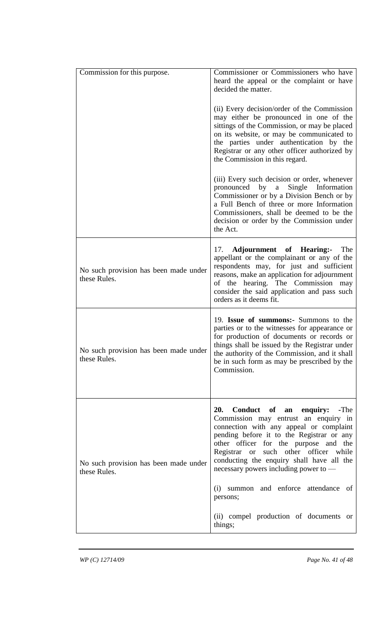| Commission for this purpose.                          | Commissioner or Commissioners who have<br>heard the appeal or the complaint or have<br>decided the matter.                                                                                                                                                                                                                                        |
|-------------------------------------------------------|---------------------------------------------------------------------------------------------------------------------------------------------------------------------------------------------------------------------------------------------------------------------------------------------------------------------------------------------------|
|                                                       | (ii) Every decision/order of the Commission<br>may either be pronounced in one of the<br>sittings of the Commission, or may be placed<br>on its website, or may be communicated to<br>the parties under authentication by the<br>Registrar or any other officer authorized by<br>the Commission in this regard.                                   |
|                                                       | (iii) Every such decision or order, whenever<br>Single<br>Information<br>pronounced<br>by<br>$\mathbf{a}$<br>Commissioner or by a Division Bench or by<br>a Full Bench of three or more Information<br>Commissioners, shall be deemed to be the<br>decision or order by the Commission under<br>the Act.                                          |
| No such provision has been made under<br>these Rules. | Adjournment of Hearing:-<br>17.<br>The<br>appellant or the complainant or any of the<br>respondents may, for just and sufficient<br>reasons, make an application for adjournment<br>of the hearing. The Commission may<br>consider the said application and pass such<br>orders as it deems fit.                                                  |
| No such provision has been made under<br>these Rules. | 19. <b>Issue of summons:</b> Summons to the<br>parties or to the witnesses for appearance or<br>for production of documents or records or<br>things shall be issued by the Registrar under<br>the authority of the Commission, and it shall<br>be in such form as may be prescribed by the<br>Commission.                                         |
| No such provision has been made under<br>these Rules. | 20.<br><b>Conduct of an enquiry:</b> -The<br>Commission may entrust an enquiry in<br>connection with any appeal or complaint<br>pending before it to the Registrar or any<br>other officer for the purpose and the<br>Registrar or such other officer while<br>conducting the enquiry shall have all the<br>necessary powers including power to — |
|                                                       | (i) summon and enforce attendance of<br>persons;                                                                                                                                                                                                                                                                                                  |
|                                                       | (ii) compel production of documents or<br>things;                                                                                                                                                                                                                                                                                                 |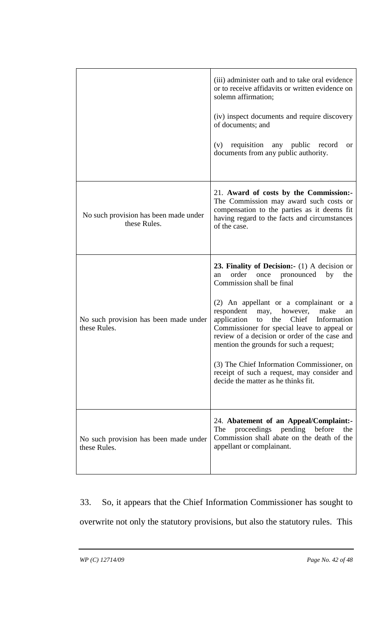|                                                       | (iii) administer oath and to take oral evidence<br>or to receive affidavits or written evidence on<br>solemn affirmation;<br>(iv) inspect documents and require discovery                                                                                                                                                                                                                                                                                                                                                                         |
|-------------------------------------------------------|---------------------------------------------------------------------------------------------------------------------------------------------------------------------------------------------------------------------------------------------------------------------------------------------------------------------------------------------------------------------------------------------------------------------------------------------------------------------------------------------------------------------------------------------------|
|                                                       | of documents; and                                                                                                                                                                                                                                                                                                                                                                                                                                                                                                                                 |
|                                                       | requisition any public record<br>(v)<br>or<br>documents from any public authority.                                                                                                                                                                                                                                                                                                                                                                                                                                                                |
| No such provision has been made under<br>these Rules. | 21. Award of costs by the Commission:-<br>The Commission may award such costs or<br>compensation to the parties as it deems fit<br>having regard to the facts and circumstances<br>of the case.                                                                                                                                                                                                                                                                                                                                                   |
| No such provision has been made under<br>these Rules. | 23. Finality of Decision: (1) A decision or<br>order<br>once<br>by<br>pronounced<br>the<br>an<br>Commission shall be final<br>(2) An appellant or a complainant or a<br>respondent<br>may, however,<br>make<br>an<br>to the<br>application<br>Chief<br>Information<br>Commissioner for special leave to appeal or<br>review of a decision or order of the case and<br>mention the grounds for such a request;<br>(3) The Chief Information Commissioner, on<br>receipt of such a request, may consider and<br>decide the matter as he thinks fit. |
| No such provision has been made under<br>these Rules. | 24. Abatement of an Appeal/Complaint:-<br>proceedings pending<br>before<br>the<br>The<br>Commission shall abate on the death of the<br>appellant or complainant.                                                                                                                                                                                                                                                                                                                                                                                  |

33. So, it appears that the Chief Information Commissioner has sought to overwrite not only the statutory provisions, but also the statutory rules. This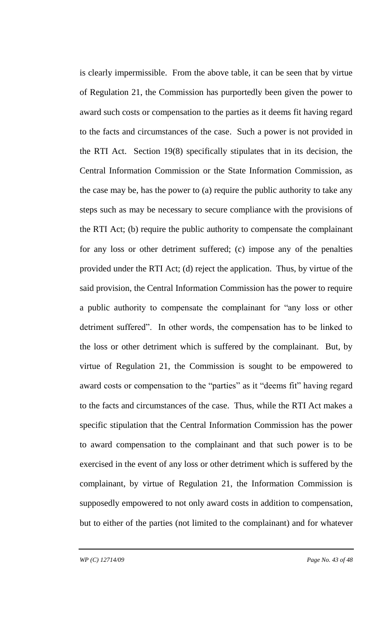is clearly impermissible. From the above table, it can be seen that by virtue of Regulation 21, the Commission has purportedly been given the power to award such costs or compensation to the parties as it deems fit having regard to the facts and circumstances of the case. Such a power is not provided in the RTI Act. Section 19(8) specifically stipulates that in its decision, the Central Information Commission or the State Information Commission, as the case may be, has the power to (a) require the public authority to take any steps such as may be necessary to secure compliance with the provisions of the RTI Act; (b) require the public authority to compensate the complainant for any loss or other detriment suffered; (c) impose any of the penalties provided under the RTI Act; (d) reject the application. Thus, by virtue of the said provision, the Central Information Commission has the power to require a public authority to compensate the complainant for "any loss or other detriment suffered". In other words, the compensation has to be linked to the loss or other detriment which is suffered by the complainant. But, by virtue of Regulation 21, the Commission is sought to be empowered to award costs or compensation to the "parties" as it "deems fit" having regard to the facts and circumstances of the case. Thus, while the RTI Act makes a specific stipulation that the Central Information Commission has the power to award compensation to the complainant and that such power is to be exercised in the event of any loss or other detriment which is suffered by the complainant, by virtue of Regulation 21, the Information Commission is supposedly empowered to not only award costs in addition to compensation, but to either of the parties (not limited to the complainant) and for whatever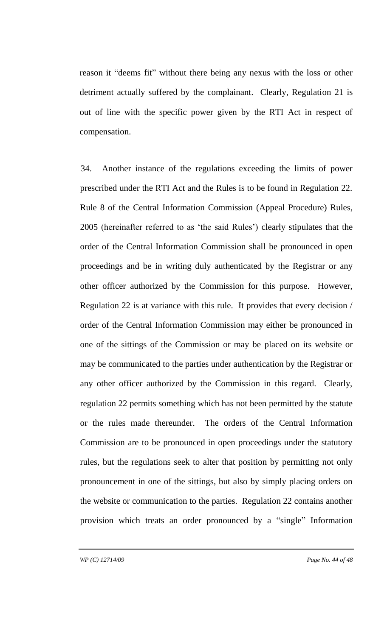reason it "deems fit" without there being any nexus with the loss or other detriment actually suffered by the complainant. Clearly, Regulation 21 is out of line with the specific power given by the RTI Act in respect of compensation.

34. Another instance of the regulations exceeding the limits of power prescribed under the RTI Act and the Rules is to be found in Regulation 22. Rule 8 of the Central Information Commission (Appeal Procedure) Rules, 2005 (hereinafter referred to as 'the said Rules') clearly stipulates that the order of the Central Information Commission shall be pronounced in open proceedings and be in writing duly authenticated by the Registrar or any other officer authorized by the Commission for this purpose. However, Regulation 22 is at variance with this rule. It provides that every decision / order of the Central Information Commission may either be pronounced in one of the sittings of the Commission or may be placed on its website or may be communicated to the parties under authentication by the Registrar or any other officer authorized by the Commission in this regard. Clearly, regulation 22 permits something which has not been permitted by the statute or the rules made thereunder. The orders of the Central Information Commission are to be pronounced in open proceedings under the statutory rules, but the regulations seek to alter that position by permitting not only pronouncement in one of the sittings, but also by simply placing orders on the website or communication to the parties. Regulation 22 contains another provision which treats an order pronounced by a "single" Information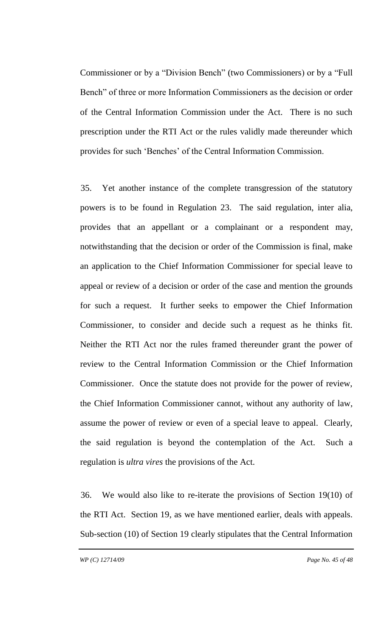Commissioner or by a "Division Bench" (two Commissioners) or by a "Full Bench<sup>"</sup> of three or more Information Commissioners as the decision or order of the Central Information Commission under the Act. There is no such prescription under the RTI Act or the rules validly made thereunder which provides for such 'Benches' of the Central Information Commission.

35. Yet another instance of the complete transgression of the statutory powers is to be found in Regulation 23. The said regulation, inter alia, provides that an appellant or a complainant or a respondent may, notwithstanding that the decision or order of the Commission is final, make an application to the Chief Information Commissioner for special leave to appeal or review of a decision or order of the case and mention the grounds for such a request. It further seeks to empower the Chief Information Commissioner, to consider and decide such a request as he thinks fit. Neither the RTI Act nor the rules framed thereunder grant the power of review to the Central Information Commission or the Chief Information Commissioner. Once the statute does not provide for the power of review, the Chief Information Commissioner cannot, without any authority of law, assume the power of review or even of a special leave to appeal. Clearly, the said regulation is beyond the contemplation of the Act. Such a regulation is *ultra vires* the provisions of the Act.

36. We would also like to re-iterate the provisions of Section 19(10) of the RTI Act. Section 19, as we have mentioned earlier, deals with appeals. Sub-section (10) of Section 19 clearly stipulates that the Central Information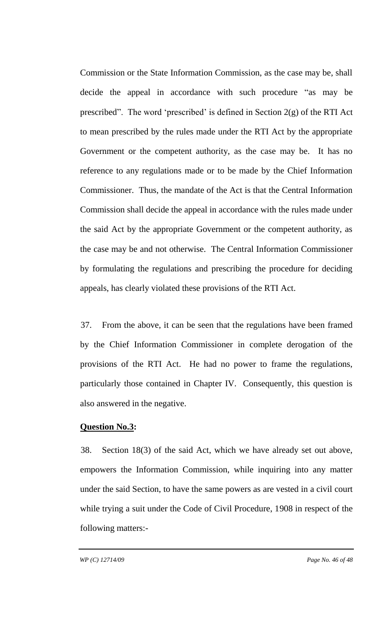Commission or the State Information Commission, as the case may be, shall decide the appeal in accordance with such procedure "as may be prescribed". The word 'prescribed' is defined in Section  $2(g)$  of the RTI Act to mean prescribed by the rules made under the RTI Act by the appropriate Government or the competent authority, as the case may be. It has no reference to any regulations made or to be made by the Chief Information Commissioner. Thus, the mandate of the Act is that the Central Information Commission shall decide the appeal in accordance with the rules made under the said Act by the appropriate Government or the competent authority, as the case may be and not otherwise. The Central Information Commissioner by formulating the regulations and prescribing the procedure for deciding appeals, has clearly violated these provisions of the RTI Act.

37. From the above, it can be seen that the regulations have been framed by the Chief Information Commissioner in complete derogation of the provisions of the RTI Act. He had no power to frame the regulations, particularly those contained in Chapter IV. Consequently, this question is also answered in the negative.

#### **Question No.3:**

38. Section 18(3) of the said Act, which we have already set out above, empowers the Information Commission, while inquiring into any matter under the said Section, to have the same powers as are vested in a civil court while trying a suit under the Code of Civil Procedure, 1908 in respect of the following matters:-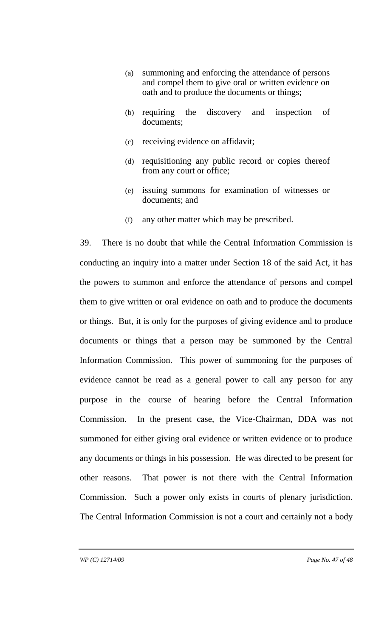- (a) summoning and enforcing the attendance of persons and compel them to give oral or written evidence on oath and to produce the documents or things;
- (b) requiring the discovery and inspection of documents;
- (c) receiving evidence on affidavit;
- (d) requisitioning any public record or copies thereof from any court or office;
- (e) issuing summons for examination of witnesses or documents; and
- (f) any other matter which may be prescribed.

39. There is no doubt that while the Central Information Commission is conducting an inquiry into a matter under Section 18 of the said Act, it has the powers to summon and enforce the attendance of persons and compel them to give written or oral evidence on oath and to produce the documents or things. But, it is only for the purposes of giving evidence and to produce documents or things that a person may be summoned by the Central Information Commission. This power of summoning for the purposes of evidence cannot be read as a general power to call any person for any purpose in the course of hearing before the Central Information Commission. In the present case, the Vice-Chairman, DDA was not summoned for either giving oral evidence or written evidence or to produce any documents or things in his possession. He was directed to be present for other reasons. That power is not there with the Central Information Commission. Such a power only exists in courts of plenary jurisdiction. The Central Information Commission is not a court and certainly not a body